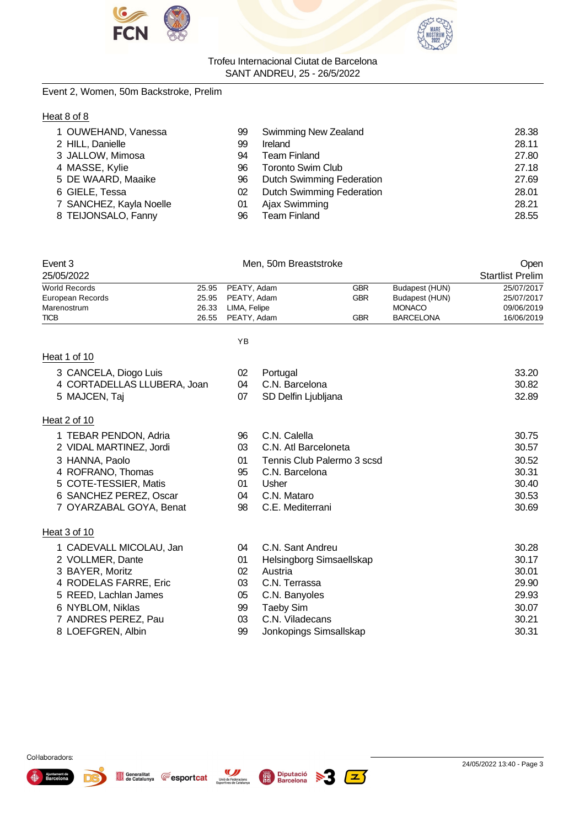



# Event 2, Women, 50m Backstroke, Prelim

# Heat 8 of 8

| 1 OUWEHAND, Vanessa     | 99 | <b>Swimming New Zealand</b>      | 28.38 |
|-------------------------|----|----------------------------------|-------|
| 2 HILL, Danielle        | 99 | Ireland                          | 28.11 |
| 3 JALLOW, Mimosa        | 94 | <b>Team Finland</b>              | 27.80 |
| 4 MASSE, Kylie          | 96 | <b>Toronto Swim Club</b>         | 27.18 |
| 5 DE WAARD, Maaike      | 96 | <b>Dutch Swimming Federation</b> | 27.69 |
| 6 GIELE, Tessa          | 02 | <b>Dutch Swimming Federation</b> | 28.01 |
| 7 SANCHEZ, Kayla Noelle | 01 | Ajax Swimming                    | 28.21 |
| 8 TEIJONSALO, Fanny     | 96 | <b>Team Finland</b>              | 28.55 |

| Event 3              |       | Men. 50m Breaststroke |            |                  |                         |  |
|----------------------|-------|-----------------------|------------|------------------|-------------------------|--|
| 25/05/2022           |       |                       |            |                  | <b>Startlist Prelim</b> |  |
| <b>World Records</b> |       | 25.95 PEATY. Adam     | <b>GBR</b> | Budapest (HUN)   | 25/07/2017              |  |
| European Records     |       | 25.95 PEATY Adam      | <b>GBR</b> | Budapest (HUN)   | 25/07/2017              |  |
| Marenostrum          | 26.33 | LIMA, Felipe          |            | <b>MONACO</b>    | 09/06/2019              |  |
| <b>TICB</b>          |       | 26.55 PEATY. Adam     | GBR        | <b>BARCELONA</b> | 16/06/2019              |  |

# YB

|--|

| 3 CANCELA, Diogo Luis       | 02 | Portugal                   | 33.20 |
|-----------------------------|----|----------------------------|-------|
| 4 CORTADELLAS LLUBERA, Joan | 04 | C.N. Barcelona             | 30.82 |
| 5 MAJCEN, Taj               | 07 | SD Delfin Ljubljana        | 32.89 |
| Heat 2 of 10                |    |                            |       |
| 1 TEBAR PENDON, Adria       | 96 | C.N. Calella               | 30.75 |
| 2 VIDAL MARTINEZ, Jordi     | 03 | C.N. Atl Barceloneta       | 30.57 |
| 3 HANNA, Paolo              | 01 | Tennis Club Palermo 3 scsd | 30.52 |
| 4 ROFRANO, Thomas           | 95 | C.N. Barcelona             | 30.31 |
| 5 COTE-TESSIER, Matis       | 01 | Usher                      | 30.40 |
| 6 SANCHEZ PEREZ, Oscar      | 04 | C.N. Mataro                | 30.53 |
| 7 OYARZABAL GOYA, Benat     | 98 | C.E. Mediterrani           | 30.69 |
| Heat 3 of 10                |    |                            |       |
| 1 CADEVALL MICOLAU, Jan     | 04 | C.N. Sant Andreu           | 30.28 |
| 2 VOLLMER, Dante            | 01 | Helsingborg Simsaellskap   | 30.17 |
| 3 BAYER, Moritz             | 02 | Austria                    | 30.01 |
| 4 RODELAS FARRE, Eric       | 03 | C.N. Terrassa              | 29.90 |
| 5 REED, Lachlan James       | 05 | C.N. Banyoles              | 29.93 |
| 6 NYBLOM, Niklas            | 99 | <b>Taeby Sim</b>           | 30.07 |
| 7 ANDRES PEREZ, Pau         | 03 | C.N. Viladecans            | 30.21 |
| 8 LOEFGREN, Albin           | 99 | Jonkopings Simsallskap     | 30.31 |

 $\geq 3$ 



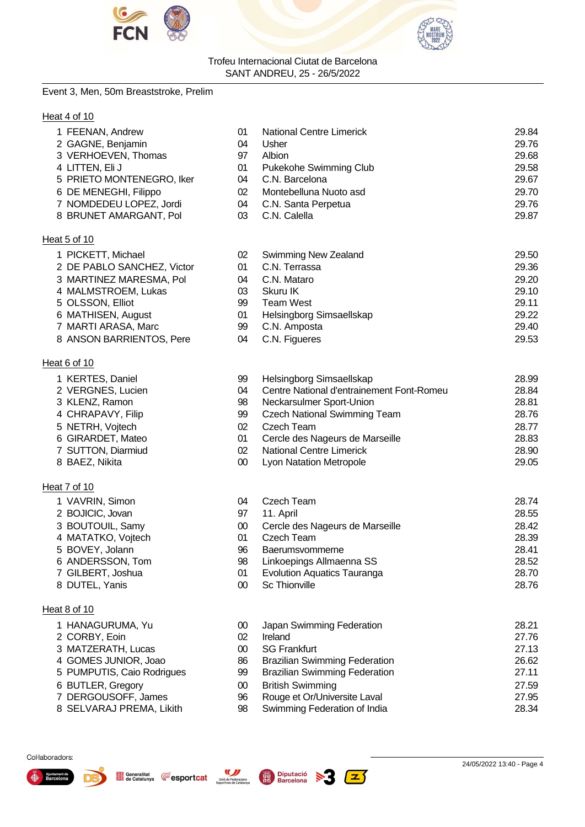



#### Event 3, Men, 50m Breaststroke, Prelim

# Heat 4 of 10

Heat 6 of 10

Heat 7 of 10

Heat 8 of 10

1 KERTES, Daniel 2 VERGNES, Lucien 3 KLENZ, Ramon 4 CHRAPAVY, Filip 5 NETRH, Voitech 6 GIRARDET, Mateo 7 SUTTON, Diarmiud 8 BAEZ, Nikita

| 1 FEENAN, Andrew           | 01 | <b>National Centre Limerick</b> | 29.84 |
|----------------------------|----|---------------------------------|-------|
| 2 GAGNE, Benjamin          | 04 | Usher                           | 29.76 |
| 3 VERHOEVEN, Thomas        | 97 | Albion                          | 29.68 |
| 4 LITTEN, Eli J            | 01 | Pukekohe Swimming Club          | 29.58 |
| 5 PRIETO MONTENEGRO, Iker  | 04 | C.N. Barcelona                  | 29.67 |
| 6 DE MENEGHI, Filippo      | 02 | Montebelluna Nuoto asd          | 29.70 |
| 7 NOMDEDEU LOPEZ, Jordi    | 04 | C.N. Santa Perpetua             | 29.76 |
| 8 BRUNET AMARGANT, Pol     | 03 | C.N. Calella                    | 29.87 |
| Heat 5 of 10               |    |                                 |       |
| 1 PICKETT, Michael         | 02 | Swimming New Zealand            | 29.50 |
| 2 DE PABLO SANCHEZ, Victor | 01 | C.N. Terrassa                   | 29.36 |
| 3 MARTINEZ MARESMA, Pol    | 04 | C.N. Mataro                     | 29.20 |

| 3 MARTINEZ MARESMA, Pol  | 04 | C.N. Mataro              | 29.20 |
|--------------------------|----|--------------------------|-------|
| 4 MALMSTROEM, Lukas      | 03 | Skuru IK                 | 29.10 |
| 5 OLSSON, Elliot         | 99 | Team West                | 29.11 |
| 6 MATHISEN, August       | 01 | Helsingborg Simsaellskap | 29.22 |
| 7 MARTI ARASA, Marc      | 99 | C.N. Amposta             | 29.40 |
| 8 ANSON BARRIENTOS, Pere | 04 | C.N. Figueres            | 29.53 |

| 99  | Helsingborg Simsaellskap                  | 28.99 |
|-----|-------------------------------------------|-------|
| 04  | Centre National d'entrainement Font-Romeu | 28.84 |
| 98  | Neckarsulmer Sport-Union                  | 28.81 |
| 99  | <b>Czech National Swimming Team</b>       | 28.76 |
| 02. | Czech Team                                | 28.77 |
| 01  | Cercle des Nageurs de Marseille           | 28.83 |
| 02. | National Centre Limerick                  | 28.90 |
| ൜   | L von Natation Metropole                  | 29.05 |

| 1 VAVRIN, Simon    | 04 | Czech Team                         | 28.74 |
|--------------------|----|------------------------------------|-------|
| 2 BOJICIC, Jovan   | 97 | 11. April                          | 28.55 |
| 3 BOUTOUIL, Samy   | 00 | Cercle des Nageurs de Marseille    | 28.42 |
| 4 MATATKO, Vojtech | 01 | Czech Team                         | 28.39 |
| 5 BOVEY, Jolann    | 96 | Baerumsvommerne                    | 28.41 |
| 6 ANDERSSON, Tom   | 98 | Linkoepings Allmaenna SS           | 28.52 |
| 7 GILBERT, Joshua  | 01 | <b>Evolution Aquatics Tauranga</b> | 28.70 |
| 8 DUTEL, Yanis     | 00 | <b>Sc Thionville</b>               | 28.76 |

| 00  | Japan Swimming Federation            | 28.21 |
|-----|--------------------------------------|-------|
| 02. | Ireland                              | 27.76 |
| 00  | <b>SG Frankfurt</b>                  | 27.13 |
| 86  | <b>Brazilian Swimming Federation</b> | 26.62 |
| 99  | <b>Brazilian Swimming Federation</b> | 27.11 |
| 00  | <b>British Swimming</b>              | 27.59 |
| 96  | Rouge et Or/Universite Laval         | 27.95 |
| 98  | Swimming Federation of India         | 28.34 |
|     |                                      |       |

#### Col·laboradors:

| Aiuntament de<br>Barcelona |  |
|----------------------------|--|
|                            |  |

1 HANAGURUMA, Yu 2 CORBY, Eoin 3 MATZERATH, Lucas 4 GOMES JUNIOR, Joao 5 PUMPUTIS, Caio Rodrigues

6 BUTLER, Gregory 7 DERGOUSOFF, James 8 SELVARAJ PREMA, Likith



**E**esportcat

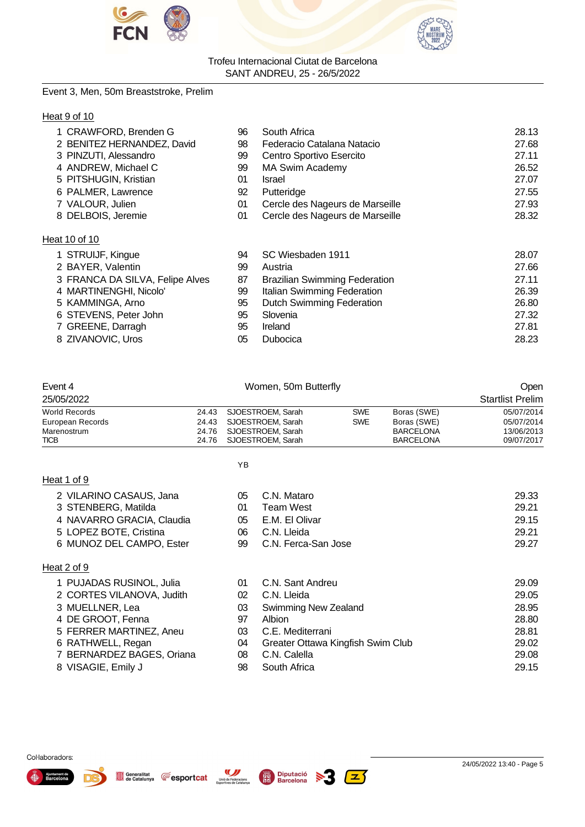



# Event 3, Men, 50m Breaststroke, Prelim

# Heat 9 of 10

| 1 CRAWFORD, Brenden G           | 96 | South Africa                         | 28.13 |
|---------------------------------|----|--------------------------------------|-------|
| 2 BENITEZ HERNANDEZ, David      | 98 | Federacio Catalana Natacio           | 27.68 |
| 3 PINZUTI, Alessandro           | 99 | Centro Sportivo Esercito             | 27.11 |
| 4 ANDREW, Michael C             | 99 | <b>MA Swim Academy</b>               | 26.52 |
| 5 PITSHUGIN, Kristian           | 01 | <b>Israel</b>                        | 27.07 |
| 6 PALMER, Lawrence              | 92 | Putteridge                           | 27.55 |
| 7 VALOUR, Julien                | 01 | Cercle des Nageurs de Marseille      | 27.93 |
| 8 DELBOIS, Jeremie              | 01 | Cercle des Nageurs de Marseille      | 28.32 |
| Heat 10 of 10                   |    |                                      |       |
| 1 STRUIJF, Kingue               | 94 | SC Wiesbaden 1911                    | 28.07 |
| 2 BAYER, Valentin               | 99 | Austria                              | 27.66 |
| 3 FRANCA DA SILVA, Felipe Alves | 87 | <b>Brazilian Swimming Federation</b> | 27.11 |
| 4 MARTINENGHI, Nicolo'          | 99 | Italian Swimming Federation          | 26.39 |
| 5 KAMMINGA, Arno                | 95 | <b>Dutch Swimming Federation</b>     | 26.80 |
| 6 STEVENS, Peter John           | 95 | Slovenia                             | 27.32 |
| 7 GREENE, Darragh               | 95 | Ireland                              | 27.81 |
| 8 ZIVANOVIC, Uros               | 05 | Dubocica                             | 28.23 |
|                                 |    |                                      |       |

| Event 4             |       | Open                                         |            |                                      |                          |
|---------------------|-------|----------------------------------------------|------------|--------------------------------------|--------------------------|
| 25/05/2022          |       |                                              |            |                                      | <b>Startlist Prelim</b>  |
| World Records       |       | 24.43 SJOESTROEM. Sarah                      | <b>SWE</b> | Boras (SWE)                          | 05/07/2014               |
| European Records    |       | 24.43 SJOESTROEM. Sarah                      | <b>SWE</b> | Boras (SWE)                          | 05/07/2014               |
| Marenostrum<br>TICB | 24.76 | SJOESTROEM, Sarah<br>24.76 SJOESTROEM. Sarah |            | <b>BARCELONA</b><br><b>BARCELONA</b> | 13/06/2013<br>09/07/2017 |
|                     |       |                                              |            |                                      |                          |

YB

# Heat 1 of 9

| 2 VILARINO CASAUS, Jana   | 05. | C.N. Mataro         | 29.33 |
|---------------------------|-----|---------------------|-------|
| 3 STENBERG, Matilda       | 01  | Team West           | 29.21 |
| 4 NAVARRO GRACIA, Claudia | 05. | E.M. El Olivar      | 29.15 |
| 5 LOPEZ BOTE, Cristina    | 06. | C.N. Lleida         | 29.21 |
| 6 MUNOZ DEL CAMPO, Ester  | 99. | C.N. Ferca-San Jose | 29.27 |
| $\sim$ + 2 $\sim$ + 0     |     |                     |       |

# Heat 2 of 9

| 01                                                                                                                                                                                               | C.N. Sant Andreu                  |             | 29.09 |
|--------------------------------------------------------------------------------------------------------------------------------------------------------------------------------------------------|-----------------------------------|-------------|-------|
|                                                                                                                                                                                                  |                                   |             | 29.05 |
| 03                                                                                                                                                                                               | <b>Swimming New Zealand</b>       |             | 28.95 |
| 97                                                                                                                                                                                               | Albion                            |             | 28.80 |
| 03                                                                                                                                                                                               | C.E. Mediterrani                  |             | 28.81 |
| 04                                                                                                                                                                                               | Greater Ottawa Kingfish Swim Club |             | 29.02 |
| 08                                                                                                                                                                                               | C.N. Calella                      |             | 29.08 |
| 98                                                                                                                                                                                               | South Africa                      |             | 29.15 |
| 1 PUJADAS RUSINOL, Julia<br>2 CORTES VILANOVA, Judith<br>3 MUELLNER, Lea<br>4 DE GROOT, Fenna<br>5 FERRER MARTINEZ, Aneu<br>6 RATHWELL, Regan<br>7 BERNARDEZ BAGES, Oriana<br>8 VISAGIE, Emily J | 02                                | C.N. Lleida |       |

 $\boxed{\mathbb{Z}}$ 

 $\geq 3$ 



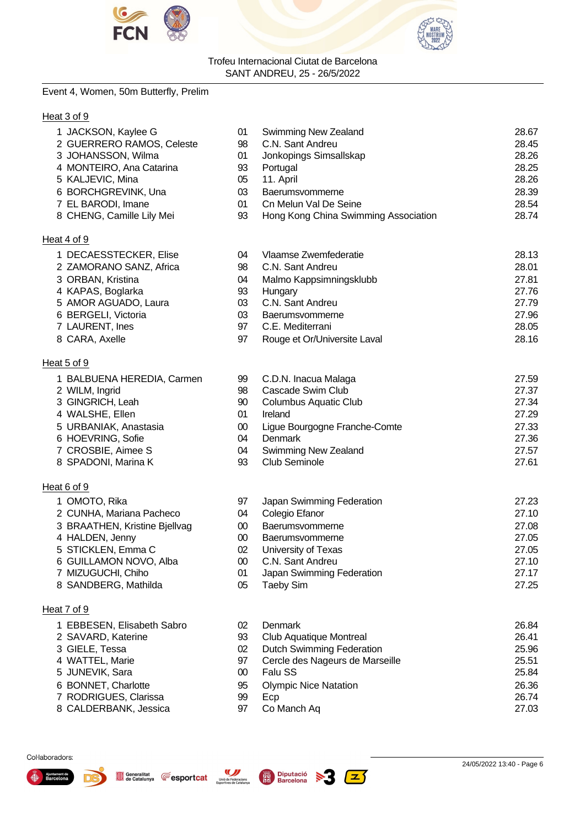



# Event 4, Women, 50m Butterfly, Prelim

# Heat 3 of 9

| 1 JACKSON, Kaylee G           | 01     | <b>Swimming New Zealand</b>          | 28.67 |
|-------------------------------|--------|--------------------------------------|-------|
| 2 GUERRERO RAMOS, Celeste     | 98     | C.N. Sant Andreu                     | 28.45 |
| 3 JOHANSSON, Wilma            | 01     | Jonkopings Simsallskap               | 28.26 |
| 4 MONTEIRO, Ana Catarina      | 93     | Portugal                             | 28.25 |
| 5 KALJEVIC, Mina              | 05     | 11. April                            | 28.26 |
| 6 BORCHGREVINK, Una           | 03     | Baerumsvommerne                      | 28.39 |
| 7 EL BARODI, Imane            | 01     | Cn Melun Val De Seine                | 28.54 |
| 8 CHENG, Camille Lily Mei     | 93     | Hong Kong China Swimming Association | 28.74 |
| Heat 4 of 9                   |        |                                      |       |
| 1 DECAESSTECKER, Elise        | 04     | Vlaamse Zwemfederatie                | 28.13 |
| 2 ZAMORANO SANZ, Africa       | 98     | C.N. Sant Andreu                     | 28.01 |
| 3 ORBAN, Kristina             | 04     | Malmo Kappsimningsklubb              | 27.81 |
| 4 KAPAS, Boglarka             | 93     | Hungary                              | 27.76 |
| 5 AMOR AGUADO, Laura          | 03     | C.N. Sant Andreu                     | 27.79 |
| 6 BERGELI, Victoria           | 03     | Baerumsvommerne                      | 27.96 |
| 7 LAURENT, Ines               | 97     | C.E. Mediterrani                     | 28.05 |
| 8 CARA, Axelle                | 97     | Rouge et Or/Universite Laval         | 28.16 |
| Heat 5 of 9                   |        |                                      |       |
| 1 BALBUENA HEREDIA, Carmen    | 99     | C.D.N. Inacua Malaga                 | 27.59 |
| 2 WILM, Ingrid                | 98     | Cascade Swim Club                    | 27.37 |
| 3 GINGRICH, Leah              | 90     | <b>Columbus Aquatic Club</b>         | 27.34 |
| 4 WALSHE, Ellen               | 01     | Ireland                              | 27.29 |
| 5 URBANIAK, Anastasia         | $00\,$ | Ligue Bourgogne Franche-Comte        | 27.33 |
| 6 HOEVRING, Sofie             | 04     | Denmark                              | 27.36 |
| 7 CROSBIE, Aimee S            | 04     | Swimming New Zealand                 | 27.57 |
| 8 SPADONI, Marina K           | 93     | Club Seminole                        | 27.61 |
| Heat 6 of 9                   |        |                                      |       |
| 1 OMOTO, Rika                 | 97     | Japan Swimming Federation            | 27.23 |
| 2 CUNHA, Mariana Pacheco      | 04     | Colegio Efanor                       | 27.10 |
| 3 BRAATHEN, Kristine Bjellvag | 00     | Baerumsvommerne                      | 27.08 |
| 4 HALDEN, Jenny               | $00\,$ | Baerumsvommerne                      | 27.05 |
| 5 STICKLEN, Emma C            | 02     | University of Texas                  | 27.05 |
| 6 GUILLAMON NOVO, Alba        | $00\,$ | C.N. Sant Andreu                     | 27.10 |
| 7 MIZUGUCHI, Chiho            | 01     | Japan Swimming Federation            | 27.17 |
| 8 SANDBERG, Mathilda          | 05     | <b>Taeby Sim</b>                     | 27.25 |

# Heat 7 of 9

| 1 EBBESEN, Elisabeth Sabro | 02 | Jenmark | 26.84 |
|----------------------------|----|---------|-------|
|----------------------------|----|---------|-------|

- SAVARD, Katerine 93 Club Aquatique Montreal 26.41
- 
- GIELE, Tessa 02 Dutch Swimming Federation 25.96
- JUNEVIK, Sara 00 Falu SS 25.84
- BONNET, Charlotte 95 Olympic Nice Natation 26.36
- RODRIGUES, Clarissa 99 Ecp 26.74
- 8 CALDERBANK, Jessica 97 Co Manch Aq 27.03

Unió de Federacions<br>Esportives de Catalunya

່∠∫

97 Cercle des Nageurs de Marseille 25.51



Col·laboradors:

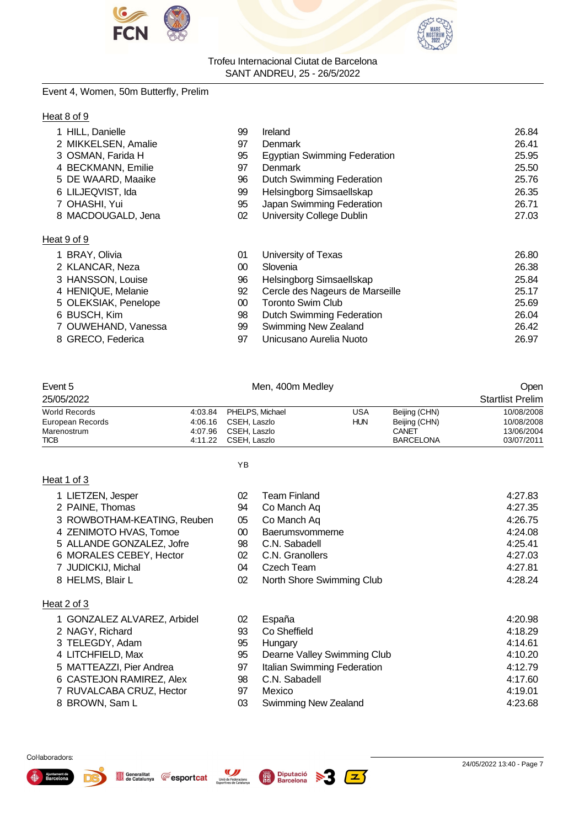



# Event 4, Women, 50m Butterfly, Prelim

# Heat 8 of 9

| 1 HILL, Danielle     | 99 | Ireland                             | 26.84 |
|----------------------|----|-------------------------------------|-------|
| 2 MIKKELSEN, Amalie  | 97 | <b>Denmark</b>                      | 26.41 |
| 3 OSMAN, Farida H    | 95 | <b>Egyptian Swimming Federation</b> | 25.95 |
| 4 BECKMANN, Emilie   | 97 | <b>Denmark</b>                      | 25.50 |
| 5 DE WAARD, Maaike   | 96 | <b>Dutch Swimming Federation</b>    | 25.76 |
| 6 LILJEQVIST, Ida    | 99 | Helsingborg Simsaellskap            | 26.35 |
| 7 OHASHI, Yui        | 95 | Japan Swimming Federation           | 26.71 |
| 8 MACDOUGALD, Jena   | 02 | University College Dublin           | 27.03 |
| Heat 9 of 9          |    |                                     |       |
| 1 BRAY, Olivia       | 01 | University of Texas                 | 26.80 |
| 2 KLANCAR, Neza      | 00 | Slovenia                            | 26.38 |
| 3 HANSSON, Louise    | 96 | Helsingborg Simsaellskap            | 25.84 |
| 4 HENIQUE, Melanie   | 92 | Cercle des Nageurs de Marseille     | 25.17 |
| 5 OLEKSIAK, Penelope | 00 | <b>Toronto Swim Club</b>            | 25.69 |
| 6 BUSCH, Kim         | 98 | Dutch Swimming Federation           | 26.04 |
| 7 OUWEHAND, Vanessa  | 99 | Swimming New Zealand                | 26.42 |
| 8 GRECO, Federica    | 97 | Unicusano Aurelia Nuoto             | 26.97 |
|                      |    |                                     |       |

| Event 5          |         | Men, 400m Medley        |            |                  | Open                    |
|------------------|---------|-------------------------|------------|------------------|-------------------------|
| 25/05/2022       |         |                         |            |                  | <b>Startlist Prelim</b> |
| World Records    |         | 4:03.84 PHELPS, Michael | USA        | Beijing (CHN)    | 10/08/2008              |
| European Records | 4:06.16 | CSEH. Laszlo            | <b>HUN</b> | Beijing (CHN)    | 10/08/2008              |
| Marenostrum      | 4:07.96 | CSEH. Laszlo            |            | CANET            | 13/06/2004              |
| TICB             | 4:11.22 | CSEH. Laszlo            |            | <b>BARCELONA</b> | 03/07/2011              |
|                  |         |                         |            |                  |                         |

YB

# Heat 1 of 3

2 NAGY, Richard 3 TELEGDY, Adam 4 LITCHFIELD, Max

8 BROWN, Sam L

5 MATTEAZZI, Pier Andrea 6 CASTEJON RAMIREZ, Alex 7 RUVALCABA CRUZ, Hector

| 1 LIETZEN, Jesper           | 02     | Team Finland              | 4:27.83 |
|-----------------------------|--------|---------------------------|---------|
| 2 PAINE, Thomas             | 94     | Co Manch Aq               | 4:27.35 |
| 3 ROWBOTHAM-KEATING, Reuben | 05     | Co Manch Aq               | 4:26.75 |
| 4 ZENIMOTO HVAS, Tomoe      | $00\,$ | Baerumsvommerne           | 4:24.08 |
| 5 ALLANDE GONZALEZ, Jofre   | 98     | C.N. Sabadell             | 4:25.41 |
| 6 MORALES CEBEY, Hector     | 02     | C.N. Granollers           | 4:27.03 |
| 7 JUDICKIJ, Michal          | 04     | Czech Team                | 4:27.81 |
| 8 HELMS, Blair L            | 02     | North Shore Swimming Club | 4:28.24 |
| Heat 2 of 3                 |        |                           |         |
| 1 GONZALEZ ALVAREZ, Arbidel | 02     | España                    | 4:20.98 |

| u  | ∟vµuπu                      | T.LV.VU |
|----|-----------------------------|---------|
| 93 | Co Sheffield                | 4:18.29 |
| 95 | Hungary                     | 4:14.61 |
| 95 | Dearne Valley Swimming Club | 4:10.20 |
| 97 | Italian Swimming Federation | 4:12.79 |
| 98 | C.N. Sabadell               | 4:17.60 |
| 97 | Mexico                      | 4:19.01 |
| 03 | Swimming New Zealand        | 4:23.68 |

#### Col·laboradors:



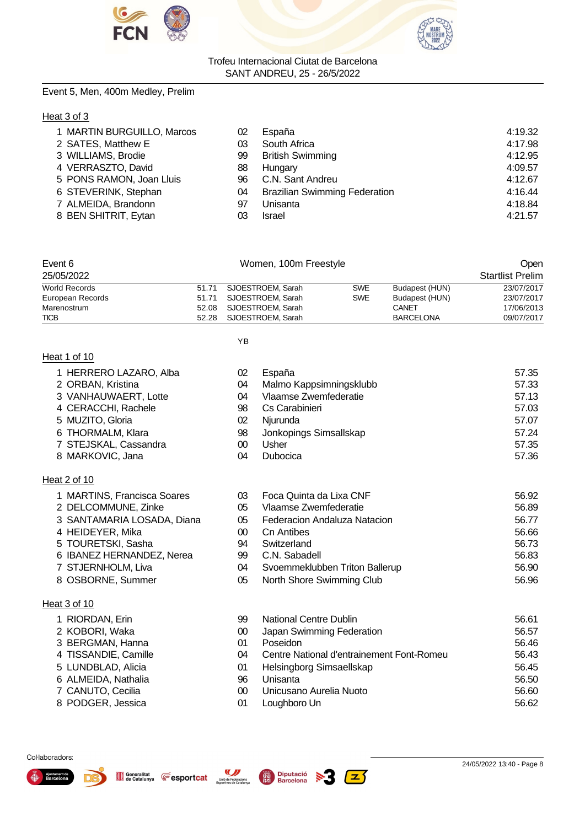



# Event 5, Men, 400m Medley, Prelim

# Heat 3 of 3

| 8 BEN SHITRIT, Eytan<br><b>Israel</b><br>03 | 1 MARTIN BURGUILLO, Marcos<br>2 SATES, Matthew E<br>3 WILLIAMS, Brodie<br>4 VERRASZTO, David<br>5 PONS RAMON, Joan Lluis<br>6 STEVERINK, Stephan | 02<br>03<br>99<br>88<br>96<br>04 | España<br>South Africa<br><b>British Swimming</b><br>Hungary<br>C.N. Sant Andreu<br><b>Brazilian Swimming Federation</b> | 4:19.32<br>4:17.98<br>4:12.95<br>4:09.57<br>4:12.67<br>4:16.44 |
|---------------------------------------------|--------------------------------------------------------------------------------------------------------------------------------------------------|----------------------------------|--------------------------------------------------------------------------------------------------------------------------|----------------------------------------------------------------|
| 7 ALMEIDA, Brandonn<br>Unisanta<br>97       |                                                                                                                                                  |                                  |                                                                                                                          |                                                                |
|                                             |                                                                                                                                                  |                                  |                                                                                                                          | 4:18.84<br>4:21.57                                             |

| Event 6              | Women, 100m Freestyle   |            |                  | Open                    |
|----------------------|-------------------------|------------|------------------|-------------------------|
| 25/05/2022           |                         |            |                  | <b>Startlist Prelim</b> |
| <b>World Records</b> | 51.71 SJOESTROEM. Sarah | <b>SWE</b> | Budapest (HUN)   | 23/07/2017              |
| European Records     | 51.71 SJOESTROEM. Sarah | <b>SWE</b> | Budapest (HUN)   | 23/07/2017              |
| Marenostrum          | 52.08 SJOESTROEM. Sarah |            | CANET            | 17/06/2013              |
| <b>TICB</b>          | 52.28 SJOESTROEM. Sarah |            | <b>BARCELONA</b> | 09/07/2017              |

#### YB

|--|

- 
- 
- 
- 
- 
- 
- 
- 8 MARKOVIC, Jana

# Heat 2 of 10

- 
- 
- 
- 
- 
- 6 IBANEZ HERNANDEZ, Nerea
- 
- 

# Heat 3 of 10

- 1 RIORDAN, Erin 99.62.61
- 2 KOBORI, Waka 00 00 Japan Swimming Federation 56.578.579 00 Japan Swimming Federation 56.577 00 Japan Swimming Federation 56.577 00 Japan Swimming Federation 56.577 00 Japan Swimming Federation 57.577 00 Japan Swimming Fe
- 3 BERGMAN, Hanna 01 Poseidon 56.46
- 4 TISSANDIE, Camille 60.433
- 5 LUNDBLAD, Alicia 01 Helsingborg Simsaellskap 56.45
- 6 ALMEIDA, Nathalia 96 Unisanta 56.50
- 7 CANUTO, Cecilia 00 Unicusano Aurelia Nuoto 56.60
- 8 PODGER, Jessica

# 1 HERRERO LAZARO, Alba 02 España 57.35 2 ORBAN, Kristina 1 04 Malmo Kappsimningsklubb 3 VANHAUWAERT. Lotte 1 04 Vlaamse Zwemfederatie 3 VANHAUWAERT, Lotte 04 Vlaamse Zwemfederatie 57.13 4 CERACCHI, Rachele 98 Cs Carabinieri 57.03 5 MUZITO, Gloria 02 Njurunda 57.07 6 THORMALM, Klara 98 Jonkopings Simsallskap 57.24

- 7 STEJSKAL, Cassandra 00 Usher 57.35
- 1 MARTINS, Francisca Soares 03 Foca Quinta da Lixa CNF 56.92 2 DELCOMMUNE, Zinke 66.89 3 SANTAMARIA LOSADA, Diana 05 Federacion Andaluza Natacion 1986.77 4 HEIDEYER, Mika 00 Cn Antibes 56.66 5 TOURETSKI, Sasha 94 Switzerland 56.73 7 STJERNHOLM, Liva 04 Svoemmeklubben Triton Ballerup 56.90 8 OSBORNE, Summer 05 North Shore Swimming Club 56.96

| 19 | National Centre Dublin                    | 56.61 |
|----|-------------------------------------------|-------|
| IO | Japan Swimming Federation                 | 56.57 |
| 11 | Poseidon                                  | 56.46 |
| 14 | Centre National d'entrainement Font-Romeu | 56.43 |
| 11 | Helsingborg Simsaellskap                  | 56.45 |
| 6  | Unisanta                                  | 56.50 |
| N  | Unicusano Aurelia Nuoto                   | 56.60 |
| 11 | Loughboro Un                              | 56.62 |

 $\mathbf{z}$  )





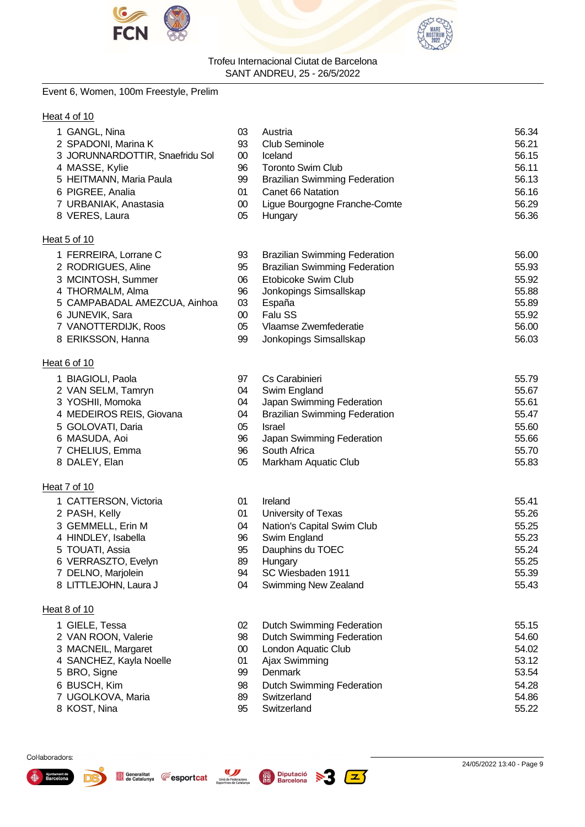



# Event 6, Women, 100m Freestyle, Prelim

# Heat 4 of 10

| 1 GANGL, Nina                                | 03           | Austria                              | 56.34        |
|----------------------------------------------|--------------|--------------------------------------|--------------|
| 2 SPADONI, Marina K                          | 93           | <b>Club Seminole</b>                 | 56.21        |
| 3 JORUNNARDOTTIR, Snaefridu Sol              | 00           | Iceland                              | 56.15        |
| 4 MASSE, Kylie                               | 96           | <b>Toronto Swim Club</b>             | 56.11        |
| 5 HEITMANN, Maria Paula                      | 99           | <b>Brazilian Swimming Federation</b> | 56.13        |
| 6 PIGREE, Analia                             | 01           | Canet 66 Natation                    | 56.16        |
| 7 URBANIAK, Anastasia                        | $00\,$       | Ligue Bourgogne Franche-Comte        | 56.29        |
| 8 VERES, Laura                               | 05           | Hungary                              | 56.36        |
| Heat 5 of 10                                 |              |                                      |              |
| 1 FERREIRA, Lorrane C                        | 93           | <b>Brazilian Swimming Federation</b> | 56.00        |
| 2 RODRIGUES, Aline                           | 95           | <b>Brazilian Swimming Federation</b> | 55.93        |
| 3 MCINTOSH, Summer                           | 06           | Etobicoke Swim Club                  | 55.92        |
| 4 THORMALM, Alma                             | 96           | Jonkopings Simsallskap               | 55.88        |
| 5 CAMPABADAL AMEZCUA, Ainhoa                 | 03           | España                               | 55.89        |
| 6 JUNEVIK, Sara                              | 00           | Falu SS                              | 55.92        |
| 7 VANOTTERDIJK, Roos                         | 05           | Vlaamse Zwemfederatie                | 56.00        |
| 8 ERIKSSON, Hanna                            | 99           | Jonkopings Simsallskap               | 56.03        |
| Heat 6 of 10                                 |              |                                      |              |
| 1 BIAGIOLI, Paola                            | 97           | Cs Carabinieri                       | 55.79        |
| 2 VAN SELM, Tamryn                           | 04           | Swim England                         | 55.67        |
| 3 YOSHII, Momoka                             | 04           | Japan Swimming Federation            | 55.61        |
| $\lambda$ , $\lambda$ EDEIDOO DEIO, $\Omega$ | $\mathbf{A}$ | Desmiliano Orrespondente Explanatio  | <b>FF 47</b> |

- 
- 
- 
- 
- 
- **Heat 7 of 10** 
	-
	- 2 PASH, Kelly 01 University of Texas 55.266.267.267.267.267.267.267.267.26
	- 3 GEMMELL, Erin M 04 Nation's Capital Swim Club 55.25
	- 4 HINDLEY, Isabella 96 Swim England 55.23
	- 5 TOUATI, Assia
	- 6 VERRASZTO, Evelyn 89
	- 7 DELNO, Marjolein 94 SC Wiesbaden 1911 55.39
	- 8 LITTLEJOHN, Laura J

# Heat 8 of 10

1 GIELE, Tessa 2 VAN ROON, Valerie 3 MACNEIL, Margaret

Generalitat **E**esportcat

- 4 SANCHEZ, Kayla Noelle
- 5 BRO, Signe
- 6 BUSCH, Kim
- 7 UGOLKOVA, Maria
- 8 KOST, Nina

| 97 | Cs Carabinieri                       | 55.79 |
|----|--------------------------------------|-------|
| 04 | Swim England                         | 55.67 |
| 04 | Japan Swimming Federation            | 55.61 |
| 04 | <b>Brazilian Swimming Federation</b> | 55.47 |
| 05 | <b>Israel</b>                        | 55.60 |
| 96 | Japan Swimming Federation            | 55.66 |
| 96 | South Africa                         | 55.70 |
| 05 | Markham Aquatic Club                 | 55.83 |
|    |                                      |       |
| 01 | Ireland                              | 55.41 |
|    |                                      |       |

| ו נ | 11 Gia IV                  | JJ. TI |
|-----|----------------------------|--------|
| )1  | University of Texas        | 55.26  |
| )4  | Nation's Capital Swim Club | 55.25  |
| 96  | Swim England               | 55.23  |
| 35  | Dauphins du TOEC           | 55.24  |
| 39  | Hungary                    | 55.25  |
| 34  | SC Wiesbaden 1911          | 55.39  |
| )4  | Swimming New Zealand       | 55.43  |

| 02 | Dutch Swimming Federation        | 55.15 |
|----|----------------------------------|-------|
| 98 | <b>Dutch Swimming Federation</b> | 54.60 |
| 00 | London Aquatic Club              | 54.02 |
| 01 | Ajax Swimming                    | 53.12 |
| 99 | <b>Denmark</b>                   | 53.54 |
| 98 | <b>Dutch Swimming Federation</b> | 54.28 |
| 89 | Switzerland                      | 54.86 |
| 95 | Switzerland                      | 55.22 |



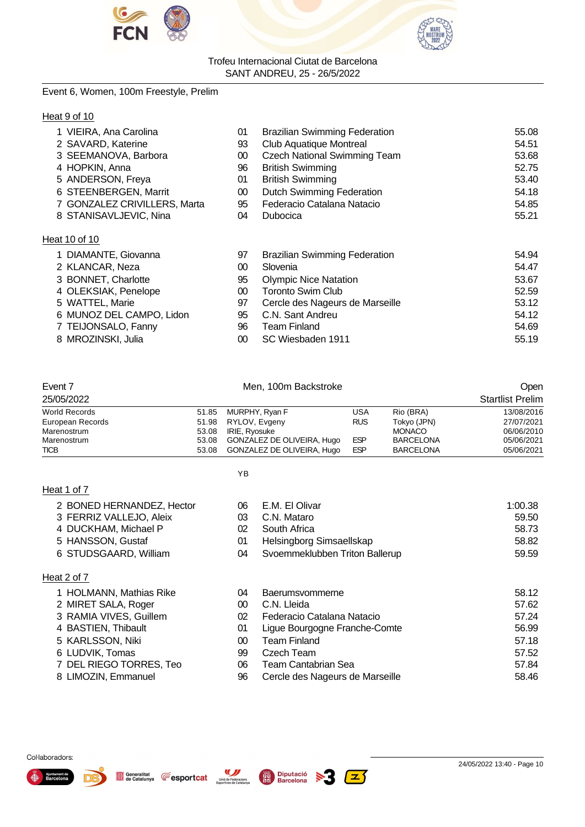



# Event 6, Women, 100m Freestyle, Prelim

|--|

| 1 VIEIRA, Ana Carolina       | 01      | <b>Brazilian Swimming Federation</b> | 55.08 |
|------------------------------|---------|--------------------------------------|-------|
| 2 SAVARD, Katerine           | 93      | <b>Club Aquatique Montreal</b>       | 54.51 |
| 3 SEEMANOVA, Barbora         | $00\,$  | <b>Czech National Swimming Team</b>  | 53.68 |
| 4 HOPKIN, Anna               | 96      | <b>British Swimming</b>              | 52.75 |
| 5 ANDERSON, Freya            | 01      | <b>British Swimming</b>              | 53.40 |
| 6 STEENBERGEN, Marrit        | 00      | <b>Dutch Swimming Federation</b>     | 54.18 |
| 7 GONZALEZ CRIVILLERS, Marta | 95      | Federacio Catalana Natacio           | 54.85 |
| 8 STANISAVLJEVIC, Nina       | 04      | Dubocica                             | 55.21 |
| Heat 10 of 10                |         |                                      |       |
| 1 DIAMANTE, Giovanna         | 97      | <b>Brazilian Swimming Federation</b> | 54.94 |
| 2 KLANCAR, Neza              | $00 \,$ | Slovenia                             | 54.47 |
| 3 BONNET, Charlotte          | 95      | <b>Olympic Nice Natation</b>         | 53.67 |
| 4 OLEKSIAK, Penelope         | 00      | <b>Toronto Swim Club</b>             | 52.59 |
| 5 WATTEL, Marie              | 97      | Cercle des Nageurs de Marseille      | 53.12 |
| 6 MUNOZ DEL CAMPO, Lidon     | 95      | C.N. Sant Andreu                     | 54.12 |
| 7 TEIJONSALO, Fanny          | 96      | <b>Team Finland</b>                  | 54.69 |
| 8 MROZINSKI, Julia           | $00\,$  | SC Wiesbaden 1911                    | 55.19 |

| Event 7              |       | Men, 100m Backstroke       | Open       |                  |                         |
|----------------------|-------|----------------------------|------------|------------------|-------------------------|
| 25/05/2022           |       |                            |            |                  | <b>Startlist Prelim</b> |
| <b>World Records</b> |       | 51.85 MURPHY, Ryan F       | USA        | Rio (BRA)        | 13/08/2016              |
| European Records     |       | 51.98 RYLOV, Evgeny        | <b>RUS</b> | Tokyo (JPN)      | 27/07/2021              |
| Marenostrum          | 53.08 | IRIE, Ryosuke              |            | <b>MONACO</b>    | 06/06/2010              |
| Marenostrum          | 53.08 | GONZALEZ DE OLIVEIRA, Hugo | <b>ESP</b> | <b>BARCELONA</b> | 05/06/2021              |
| <b>TICB</b>          | 53.08 | GONZALEZ DE OLIVEIRA, Hugo | <b>ESP</b> | <b>BARCELONA</b> | 05/06/2021              |

YB

|--|--|--|--|--|

Heat 2 of 7

| 06 | E.M. El Olivar                 | 1:00.38 |
|----|--------------------------------|---------|
| 03 | C.N. Mataro                    | 59.50   |
| 02 | South Africa                   | 58.73   |
| 01 | Helsingborg Simsaellskap       | 58.82   |
| 04 | Svoemmeklubben Triton Ballerup | 59.59   |
|    |                                |         |
|    |                                |         |

| ∣ HOLMANN, Mathias Rike |
|-------------------------|
| MIRET SALA, Roger       |

2 BONED HERNANDEZ, Hector 3 FERRIZ VALLEJO, Aleix 4 DUCKHAM, Michael P 5 HANSSON, Gustaf 6 STUDSGAARD, William

- 3 RAMIA VIVES, Guillem 02<br>4 BASTIEN, Thibault 0
- 4 BASTIEN, Thibault
- 5 KARLSSON, Niki 00 Team Finland 57.18
- 
- 6 LUDVIK, Tomas 99 Czech Team 57.52 7 DEL RIEGO TORRES, Teo 06 Team Cantabrian Sea 57.84
- 8 LIMOZIN, Emmanuel

| 1 HOLMANN, Mathias Rike | 04 | Baerumsvommerne                 | 58.12 |
|-------------------------|----|---------------------------------|-------|
| 2 MIRET SALA, Roger     | 00 | C.N. Lleida                     | 57.62 |
| 3 RAMIA VIVES, Guillem  | 02 | Federacio Catalana Natacio      | 57.24 |
| 4 BASTIEN, Thibault     | 01 | Ligue Bourgogne Franche-Comte   | 56.99 |
| 5 KARLSSON, Niki        | 00 | <b>Team Finland</b>             | 57.18 |
| 6 LUDVIK, Tomas         | 99 | Czech Team                      | 57.52 |
| 7 DEL RIEGO TORRES, Teo | 06 | Team Cantabrian Sea             | 57.84 |
| 8 LIMOZIN, Emmanuel     | 96 | Cercle des Nageurs de Marseille | 58.46 |

Col·laboradors:



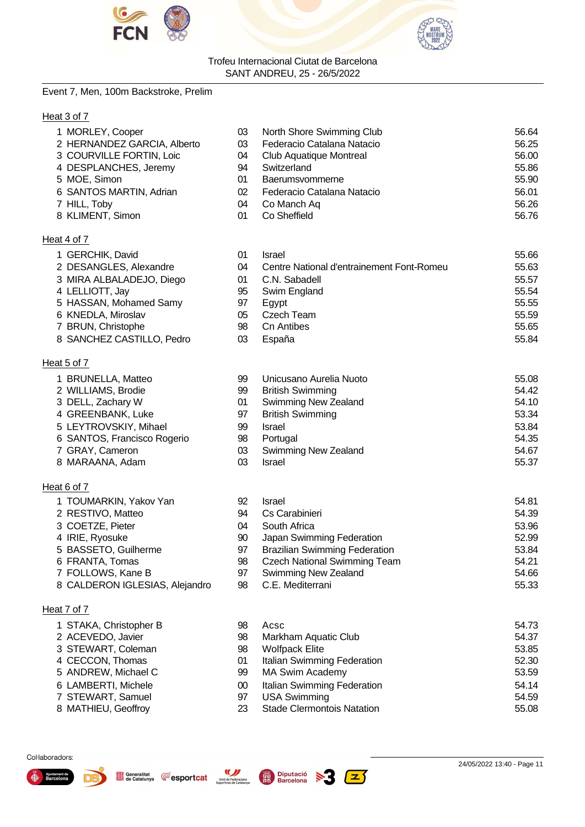



# Event 7, Men, 100m Backstroke, Prelim

# Heat 3 of 7

| 1 MORLEY, Cooper                | 03  | North Shore Swimming Club                 | 56.64  |
|---------------------------------|-----|-------------------------------------------|--------|
| 2 HERNANDEZ GARCIA, Alberto     | 03  | Federacio Catalana Natacio                | 56.25  |
| 3 COURVILLE FORTIN, Loic        | 04  | Club Aquatique Montreal                   | 56.00  |
| 4 DESPLANCHES, Jeremy           | 94  | Switzerland                               | 55.86  |
| 5 MOE, Simon                    | 01  | Baerumsvommerne                           | 55.90  |
| 6 SANTOS MARTIN, Adrian         | 02  | Federacio Catalana Natacio                | 56.01  |
| 7 HILL, Toby                    | 04  | Co Manch Aq                               | 56.26  |
| 8 KLIMENT, Simon                | 01  | Co Sheffield                              | 56.76  |
| Heat 4 of 7                     |     |                                           |        |
| 1 GERCHIK, David                | 01  | <b>Israel</b>                             | 55.66  |
| 2 DESANGLES, Alexandre          | 04  | Centre National d'entrainement Font-Romeu | 55.63  |
| 3 MIRA ALBALADEJO, Diego        | 01  | C.N. Sabadell                             | 55.57  |
| 4 LELLIOTT, Jay                 | 95  | Swim England                              | 55.54  |
| 5 HASSAN, Mohamed Samy          | 97  | Egypt                                     | 55.55  |
| 6 KNEDLA, Miroslav              | 05  | <b>Czech Team</b>                         | 55.59  |
| 7 BRUN, Christophe              | 98  | <b>Cn Antibes</b>                         | 55.65  |
| 8 SANCHEZ CASTILLO, Pedro       | 03  | España                                    | 55.84  |
| Heat 5 of 7                     |     |                                           |        |
| 1 BRUNELLA, Matteo              | 99  | Unicusano Aurelia Nuoto                   | 55.08  |
| 2 WILLIAMS, Brodie              | 99  | <b>British Swimming</b>                   | 54.42  |
| 3 DELL, Zachary W               | 01  | <b>Swimming New Zealand</b>               | 54.10  |
| 4 GREENBANK, Luke               | 97  | <b>British Swimming</b>                   | 53.34  |
| 5 LEYTROVSKIY, Mihael           | 99  | <b>Israel</b>                             | 53.84  |
| 6 SANTOS, Francisco Rogerio     | 98  | Portugal                                  | 54.35  |
| 7 GRAY, Cameron                 | 03  | <b>Swimming New Zealand</b>               | 54.67  |
| 8 MARAANA, Adam                 | 03  | <b>Israel</b>                             | 55.37  |
| Heat 6 of 7                     |     |                                           |        |
| 1 TOUMARKIN, Yakov Yan          | 92  | <b>Israel</b>                             | 54.81  |
| 2 RESTIVO, Matteo               | 94  | Cs Carabinieri                            | 54.39  |
| 3 COETZE, Pieter                | 04  | South Africa                              | 53.96  |
| 4 IRIE, Ryosuke                 | 90  | Japan Swimming Federation                 | 52.99  |
| 5 BASSETO, Guilherme            | 97  | <b>Brazilian Swimming Federation</b>      | 53.84  |
| 6 FRANTA, Tomas                 | 98  | <b>Czech National Swimming Team</b>       | 54.21  |
| 7 FOLLOWS, Kane B               | 97  | Swimming New Zealand                      | 54.66  |
| 8 CALDERON IGLESIAS, Alejandro  | 98  | C.E. Mediterrani                          | 55.33  |
| Heat 7 of 7                     |     |                                           |        |
| 1 STAKA, Christopher B          | 98  | Acsc                                      | 54.73  |
| $2.10$ MC N $\sqrt{2}$ Martiage | no. | Markham Aguatia Club                      | F A 27 |

- ACEVEDO, Javier 98 Markham Aquatic Club 54.37 STEWART, Coleman 98 Wolfpack Elite 53.85 CECCON, Thomas 01 Italian Swimming Federation 52.30 5 ANDREW, Michael C 63.59 99 MA Swim Academy 63.59 LAMBERTI, Michele 00 Italian Swimming Federation 54.14 7 STEWART, Samuel 97 USA Swimming 1996 1996 1997 54.59 8 MATHIEU, Geoffroy 23 Stade Clermontois Natation 55.08
- Col·laboradors:







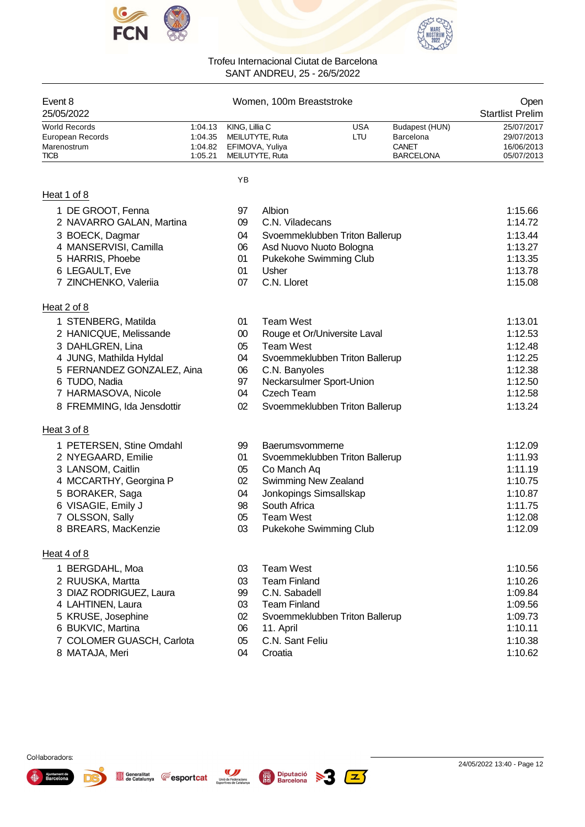



| Event 8<br>25/05/2022                                                  | Women, 100m Breaststroke                 |                |                                                       |  |                   | Open<br><b>Startlist Prelim</b>                                 |                                                      |
|------------------------------------------------------------------------|------------------------------------------|----------------|-------------------------------------------------------|--|-------------------|-----------------------------------------------------------------|------------------------------------------------------|
| <b>World Records</b><br>European Records<br>Marenostrum<br><b>TICB</b> | 1:04.13<br>1:04.35<br>1:04.82<br>1:05.21 | KING, Lillia C | MEILUTYTE, Ruta<br>EFIMOVA, Yuliya<br>MEILUTYTE, Ruta |  | <b>USA</b><br>LTU | Budapest (HUN)<br>Barcelona<br><b>CANET</b><br><b>BARCELONA</b> | 25/07/2017<br>29/07/2013<br>16/06/2013<br>05/07/2013 |
|                                                                        |                                          | YB             |                                                       |  |                   |                                                                 |                                                      |
| Heat 1 of 8                                                            |                                          |                |                                                       |  |                   |                                                                 |                                                      |
| 1 DE GROOT, Fenna                                                      |                                          | 97             | Albion                                                |  |                   |                                                                 | 1:15.66                                              |
| 2 NAVARRO GALAN, Martina                                               |                                          | 09             | C.N. Viladecans                                       |  |                   |                                                                 | 1:14.72                                              |
| 3 BOECK, Dagmar                                                        |                                          | 04             | Svoemmeklubben Triton Ballerup                        |  |                   |                                                                 | 1:13.44                                              |
| 4 MANSERVISI, Camilla                                                  |                                          | 06             | Asd Nuovo Nuoto Bologna                               |  |                   |                                                                 | 1:13.27                                              |
| 5 HARRIS, Phoebe<br>6 LEGAULT, Eve                                     |                                          | 01<br>01       | Pukekohe Swimming Club<br>Usher                       |  |                   |                                                                 | 1:13.35<br>1:13.78                                   |
| 7 ZINCHENKO, Valeriia                                                  |                                          | 07             | C.N. Lloret                                           |  |                   |                                                                 | 1:15.08                                              |
|                                                                        |                                          |                |                                                       |  |                   |                                                                 |                                                      |
| Heat 2 of 8<br>1 STENBERG, Matilda                                     |                                          | 01             | <b>Team West</b>                                      |  |                   |                                                                 | 1:13.01                                              |
| 2 HANICQUE, Melissande                                                 |                                          | $00\,$         | Rouge et Or/Universite Laval                          |  |                   |                                                                 | 1:12.53                                              |
| 3 DAHLGREN, Lina                                                       |                                          | 05             | <b>Team West</b>                                      |  |                   |                                                                 | 1:12.48                                              |
| 4 JUNG, Mathilda Hyldal                                                |                                          | 04             | Svoemmeklubben Triton Ballerup                        |  |                   |                                                                 | 1:12.25                                              |
| 5 FERNANDEZ GONZALEZ, Aina                                             |                                          | 06             | C.N. Banyoles                                         |  |                   |                                                                 | 1:12.38                                              |
| 6 TUDO, Nadia                                                          |                                          | 97             | Neckarsulmer Sport-Union                              |  |                   |                                                                 | 1:12.50                                              |
| 7 HARMASOVA, Nicole                                                    |                                          | 04             | <b>Czech Team</b>                                     |  |                   |                                                                 | 1:12.58                                              |
| 8 FREMMING, Ida Jensdottir                                             |                                          | 02             | Svoemmeklubben Triton Ballerup                        |  |                   |                                                                 | 1:13.24                                              |
| Heat 3 of 8                                                            |                                          |                |                                                       |  |                   |                                                                 |                                                      |
| 1 PETERSEN, Stine Omdahl                                               |                                          | 99             | <b>Baerumsvommerne</b>                                |  |                   |                                                                 | 1:12.09                                              |
| 2 NYEGAARD, Emilie                                                     |                                          | 01             | Svoemmeklubben Triton Ballerup                        |  |                   |                                                                 | 1:11.93                                              |
| 3 LANSOM, Caitlin                                                      |                                          | 05             | Co Manch Aq                                           |  |                   |                                                                 | 1:11.19                                              |
| 4 MCCARTHY, Georgina P                                                 |                                          | 02             | Swimming New Zealand                                  |  |                   |                                                                 | 1:10.75                                              |
| 5 BORAKER, Saga                                                        |                                          | 04             | Jonkopings Simsallskap<br>South Africa                |  |                   |                                                                 | 1:10.87                                              |
| 6 VISAGIE, Emily J<br>7 OLSSON, Sally                                  |                                          | 98<br>05       | <b>Team West</b>                                      |  |                   |                                                                 | 1:11.75<br>1:12.08                                   |
| 8 BREARS, MacKenzie                                                    |                                          | 03             | Pukekohe Swimming Club                                |  |                   |                                                                 | 1:12.09                                              |
|                                                                        |                                          |                |                                                       |  |                   |                                                                 |                                                      |
| Heat 4 of 8                                                            |                                          |                |                                                       |  |                   |                                                                 |                                                      |
| 1 BERGDAHL, Moa                                                        |                                          | 03             | <b>Team West</b>                                      |  |                   |                                                                 | 1:10.56                                              |
| 2 RUUSKA, Martta                                                       |                                          | 03             | <b>Team Finland</b>                                   |  |                   |                                                                 | 1:10.26                                              |
| 3 DIAZ RODRIGUEZ, Laura                                                |                                          | 99             | C.N. Sabadell                                         |  |                   |                                                                 | 1:09.84                                              |
| 4 LAHTINEN, Laura                                                      |                                          | 03<br>02       | <b>Team Finland</b>                                   |  |                   |                                                                 | 1:09.56<br>1:09.73                                   |
| 5 KRUSE, Josephine<br>6 BUKVIC, Martina                                |                                          | 06             | Svoemmeklubben Triton Ballerup<br>11. April           |  |                   |                                                                 | 1:10.11                                              |
| 7 COLOMER GUASCH, Carlota                                              |                                          | 05             | C.N. Sant Feliu                                       |  |                   |                                                                 | 1:10.38                                              |
| 8 MATAJA, Meri                                                         |                                          | 04             | Croatia                                               |  |                   |                                                                 | 1:10.62                                              |
|                                                                        |                                          |                |                                                       |  |                   |                                                                 |                                                      |





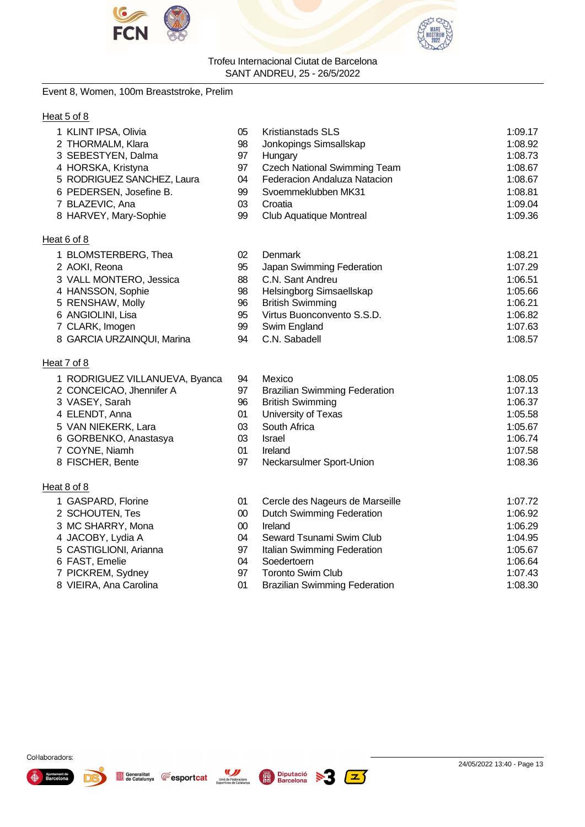



# Event 8, Women, 100m Breaststroke, Prelim

# Heat 5 of 8

| 1 KLINT IPSA, Olivia           | 05     | <b>Kristianstads SLS</b>             | 1:09.17 |
|--------------------------------|--------|--------------------------------------|---------|
| 2 THORMALM, Klara              | 98     | Jonkopings Simsallskap               | 1:08.92 |
| 3 SEBESTYEN, Dalma             | 97     | Hungary                              | 1:08.73 |
| 4 HORSKA, Kristyna             | 97     | <b>Czech National Swimming Team</b>  | 1:08.67 |
| 5 RODRIGUEZ SANCHEZ, Laura     | 04     | Federacion Andaluza Natacion         | 1:08.67 |
| 6 PEDERSEN, Josefine B.        | 99     | Svoemmeklubben MK31                  | 1:08.81 |
| 7 BLAZEVIC, Ana                | 03     | Croatia                              | 1:09.04 |
| 8 HARVEY, Mary-Sophie          | 99     | <b>Club Aquatique Montreal</b>       | 1:09.36 |
| Heat 6 of 8                    |        |                                      |         |
| 1 BLOMSTERBERG, Thea           | 02     | Denmark                              | 1:08.21 |
| 2 AOKI, Reona                  | 95     | Japan Swimming Federation            | 1:07.29 |
| 3 VALL MONTERO, Jessica        | 88     | C.N. Sant Andreu                     | 1:06.51 |
| 4 HANSSON, Sophie              | 98     | Helsingborg Simsaellskap             | 1:05.66 |
| 5 RENSHAW, Molly               | 96     | <b>British Swimming</b>              | 1:06.21 |
| 6 ANGIOLINI, Lisa              | 95     | Virtus Buonconvento S.S.D.           | 1:06.82 |
| 7 CLARK, Imogen                | 99     | Swim England                         | 1:07.63 |
| 8 GARCIA URZAINQUI, Marina     | 94     | C.N. Sabadell                        | 1:08.57 |
| Heat 7 of 8                    |        |                                      |         |
| 1 RODRIGUEZ VILLANUEVA, Byanca | 94     | Mexico                               | 1:08.05 |
| 2 CONCEICAO, Jhennifer A       | 97     | <b>Brazilian Swimming Federation</b> | 1:07.13 |
| 3 VASEY, Sarah                 | 96     | <b>British Swimming</b>              | 1:06.37 |
| 4 ELENDT, Anna                 | 01     | University of Texas                  | 1:05.58 |
| 5 VAN NIEKERK, Lara            | 03     | South Africa                         | 1:05.67 |
| 6 GORBENKO, Anastasya          | 03     | <b>Israel</b>                        | 1:06.74 |
| 7 COYNE, Niamh                 | 01     | Ireland                              | 1:07.58 |
| 8 FISCHER, Bente               | 97     | Neckarsulmer Sport-Union             | 1:08.36 |
| Heat 8 of 8                    |        |                                      |         |
| 1 GASPARD, Florine             | 01     | Cercle des Nageurs de Marseille      | 1:07.72 |
| 2 SCHOUTEN, Tes                | $00\,$ | <b>Dutch Swimming Federation</b>     | 1:06.92 |
| 3 MC SHARRY, Mona              | 00     | Ireland                              | 1:06.29 |
| 4 .IACORY I vdia A             | 04     | Seward Tsunami Swim Club             | 1:04.95 |

- 
- 
- 
- 
- 
- JACOBY, Lydia A 04 Seward Tsunami Swim Club 1:04.95 Italian Swimming Federation 1:05.67 FAST, Emelie 04 Soedertoern 1:06.64 PICKREM, Sydney 97 Toronto Swim Club 1:07.43 Brazilian Swimming Federation







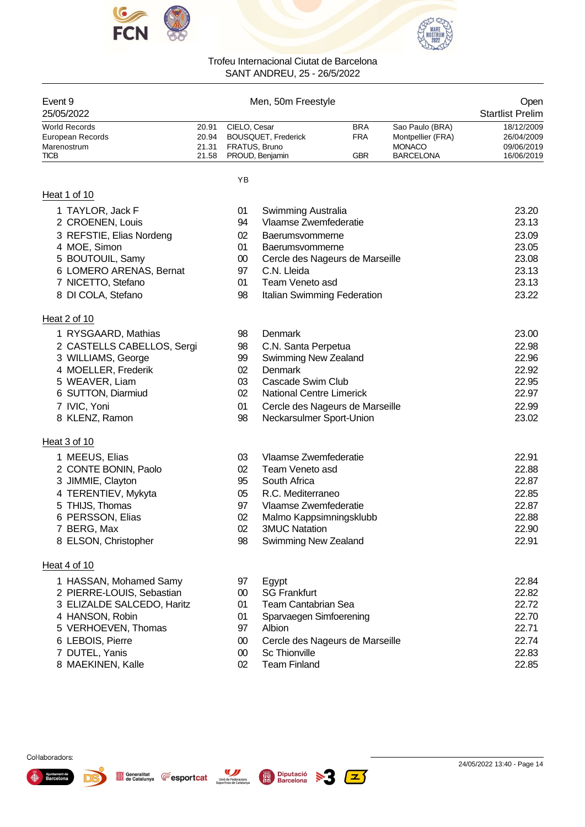



| Event 9              |       | Men, 50m Freestyle         |            |                   | Open                    |
|----------------------|-------|----------------------------|------------|-------------------|-------------------------|
| 25/05/2022           |       |                            |            |                   | <b>Startlist Prelim</b> |
| <b>World Records</b> | 20.91 | CIELO, Cesar               | <b>BRA</b> | Sao Paulo (BRA)   | 18/12/2009              |
| European Records     | 20.94 | <b>BOUSQUET, Frederick</b> | <b>FRA</b> | Montpellier (FRA) | 26/04/2009              |
| Marenostrum          | 21.31 | FRATUS, Bruno              |            | <b>MONACO</b>     | 09/06/2019              |
| <b>TICB</b>          |       | 21.58 PROUD, Benjamin      | GBR        | <b>BARCELONA</b>  | 16/06/2019              |

YB

# Heat 1 of 10

8 KLENZ, Ramon

1 MEEUS, Elias

2 CONTE BONIN, Paolo 3 JIMMIE, Clayton 4 TERENTIEV, Mykyta 5 THIJS, Thomas 6 PERSSON, Elias 7 BERG, Max

8 ELSON, Christopher

4 HANSON, Robin 5 VERHOEVEN, Thomas

6 LEBOIS, Pierre 7 DUTEL, Yanis 8 MAEKINEN, Kalle

1 HASSAN, Mohamed Samy 2 PIERRE-LOUIS, Sebastian 3 ELIZALDE SALCEDO, Haritz

Generalitat **E**esportcat

Unió de Federacions<br>Esportives de Catalunya

| 1 TAYLOR, Jack F         | 01 | Swimming Australia              | 23.20 |
|--------------------------|----|---------------------------------|-------|
| 2 CROENEN, Louis         | 94 | Vlaamse Zwemfederatie           | 23.13 |
| 3 REFSTIE, Elias Nordeng | 02 | Baerumsvommerne                 | 23.09 |
| 4 MOE, Simon             | 01 | Baerumsvommerne                 | 23.05 |
| 5 BOUTOUIL, Samy         | 00 | Cercle des Nageurs de Marseille | 23.08 |
| 6 LOMERO ARENAS, Bernat  | 97 | C.N. Lleida                     | 23.13 |
| 7 NICETTO, Stefano       | 01 | Team Veneto asd                 | 23.13 |
| 8 DI COLA, Stefano       | 98 | Italian Swimming Federation     | 23.22 |
| Heat 2 of 10             |    |                                 |       |

| 1 RYSGAARD, Mathias        | 98 | Denmark                         | 23.00 |
|----------------------------|----|---------------------------------|-------|
| 2 CASTELLS CABELLOS, Sergi | 98 | C.N. Santa Perpetua             | 22.98 |
| 3 WILLIAMS, George         | 99 | <b>Swimming New Zealand</b>     | 22.96 |
| 4 MOELLER, Frederik        | 02 | Denmark                         | 22.92 |
| 5 WEAVER, Liam             | 03 | Cascade Swim Club               | 22.95 |
| 6 SUTTON, Diarmiud         | 02 | <b>National Centre Limerick</b> | 22.97 |
| 7 IVIC, Yoni               | 01 | Cercle des Nageurs de Marseille | 22.99 |
| 8 KLENZ, Ramon             | 98 | Neckarsulmer Sport-Union        | 23.02 |

| 03. | Vlaamse Zwemfederatie   | 22.91 |
|-----|-------------------------|-------|
| 02. | Team Veneto asd         | 22.88 |
| 95  | South Africa            | 22.87 |
|     | 05 R.C. Mediterraneo    | 22.85 |
| 97  | Vlaamse Zwemfederatie   | 22.87 |
| 02. | Malmo Kappsimningsklubb | 22.88 |
| 02. | <b>3MUC Natation</b>    | 22.90 |
| 98  | Swimming New Zealand    | 22.91 |

# Heat 4 of 10

Heat 3 of 10

| 97 | Egypt                           | 22.84 |
|----|---------------------------------|-------|
| 00 | <b>SG Frankfurt</b>             | 22.82 |
| 01 | Team Cantabrian Sea             | 22.72 |
| 01 | Sparvaegen Simfoerening         | 22.70 |
| 97 | Albion                          | 22.71 |
| 00 | Cercle des Nageurs de Marseille | 22.74 |
| 00 | <b>Sc Thionville</b>            | 22.83 |
|    | Team Finland                    | 22.85 |

 $|z\rangle$ 

| Col·laboradors: |  |
|-----------------|--|
|-----------------|--|

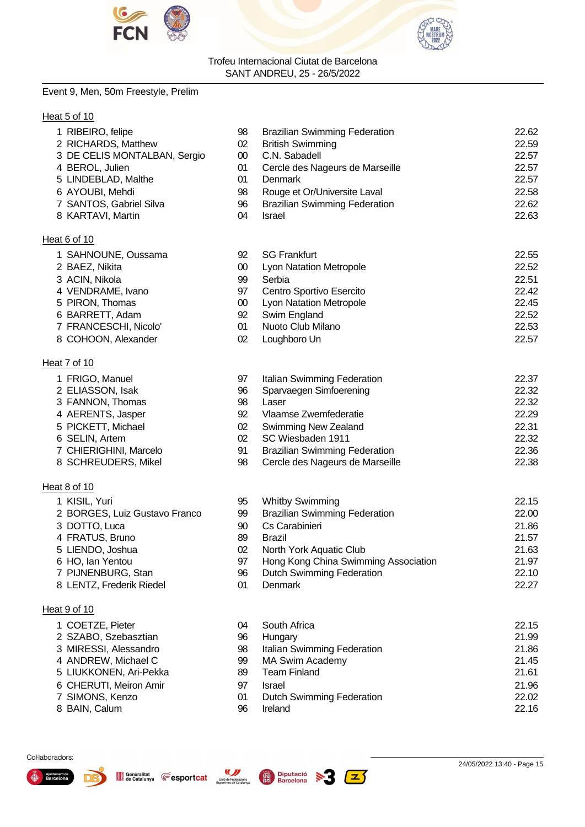



# Event 9, Men, 50m Freestyle, Prelim

# Heat 5 of 10

| 1 RIBEIRO, felipe            | 98     | <b>Brazilian Swimming Federation</b> | 22.62 |
|------------------------------|--------|--------------------------------------|-------|
| 2 RICHARDS, Matthew          | 02     | <b>British Swimming</b>              | 22.59 |
| 3 DE CELIS MONTALBAN, Sergio | 00     | C.N. Sabadell                        | 22.57 |
| 4 BEROL, Julien              | 01     | Cercle des Nageurs de Marseille      | 22.57 |
| 5 LINDEBLAD, Malthe          | 01     | <b>Denmark</b>                       | 22.57 |
| 6 AYOUBI, Mehdi              | 98     | Rouge et Or/Universite Laval         | 22.58 |
| 7 SANTOS, Gabriel Silva      | 96     | <b>Brazilian Swimming Federation</b> | 22.62 |
| 8 KARTAVI, Martin            | 04     | <b>Israel</b>                        | 22.63 |
| Heat 6 of 10                 |        |                                      |       |
| 1 SAHNOUNE, Oussama          | 92     | <b>SG Frankfurt</b>                  | 22.55 |
| 2 BAEZ, Nikita               | $00\,$ | Lyon Natation Metropole              | 22.52 |
| 3 ACIN, Nikola               | 99     | Serbia                               | 22.51 |
| 4 VENDRAME, Ivano            | 97     | Centro Sportivo Esercito             | 22.42 |
| 5 PIRON, Thomas              | 00     | Lyon Natation Metropole              | 22.45 |
| 6 BARRETT, Adam              | 92     | Swim England                         | 22.52 |
| 7 FRANCESCHI, Nicolo'        | 01     | Nuoto Club Milano                    | 22.53 |
| 8 COHOON, Alexander          | 02     | Loughboro Un                         | 22.57 |
| Heat 7 of 10                 |        |                                      |       |
| 1 FRIGO, Manuel              | 97     | Italian Swimming Federation          | 22.37 |
| 2 ELIASSON, Isak             | 96     | Sparvaegen Simfoerening              | 22.32 |
| 3 FANNON, Thomas             | 98     | Laser                                | 22.32 |
| 4 AERENTS, Jasper            | 92     | Vlaamse Zwemfederatie                | 22.29 |

- PICKETT, Michael 02 Swimming New Zealand 22.31
- SELIN, Artem 02 SC Wiesbaden 1911 22.32
- 
- CHIERIGHINI, Marcelo 91 Brazilian Swimming Federation 22.36 SCHREUDERS, Mikel 98 Cercle des Nageurs de Marseille 22.38
- Heat 8 of 10
	- KISIL, Yuri 95 Whitby Swimming 22.15
	- BORGES, Luiz Gustavo Franco 99 Brazilian Swimming Federation 22.00
	- DOTTO, Luca 90 Cs Carabinieri 21.86
	- FRATUS, Bruno 89 Brazil 21.57
	- LIENDO, Joshua 02 North York Aquatic Club 21.63
	- HO, Ian Yentou 97 Hong Kong China Swimming Association 21.97
	- PIJNENBURG, Stan 96 Dutch Swimming Federation 22.10
	- 8 LENTZ, Frederik Riedel **8 Let als a COVIDENTIAL COVIDENT** 22.27

# Heat 9 of 10

- COETZE, Pieter 04 South Africa 22.15
- SZABO, Szebasztian 96 Hungary 21.99
- MIRESSI, Alessandro 98 Italian Swimming Federation 21.86
- ANDREW, Michael C 99 MA Swim Academy 21.45
- LIUKKONEN, Ari-Pekka 89 Team Finland 21.61
- CHERUTI, Meiron Amir 97 Israel 21.96
- SIMONS, Kenzo 01 Dutch Swimming Federation 22.02
- BAIN, Calum 96 Ireland 22.16

#### Col·laboradors:





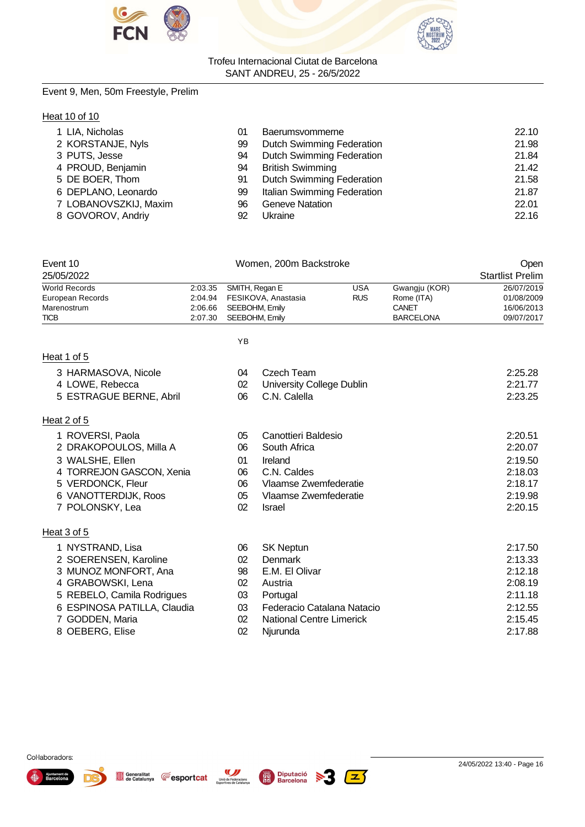



# Event 9, Men, 50m Freestyle, Prelim

# **Heat 10 of 10**

| 1 LIA, Nicholas       | 01 | Baerumsvommerne                  | 22.10 |
|-----------------------|----|----------------------------------|-------|
| 2 KORSTANJE, Nyls     | 99 | <b>Dutch Swimming Federation</b> | 21.98 |
| 3 PUTS, Jesse         | 94 | <b>Dutch Swimming Federation</b> | 21.84 |
| 4 PROUD, Benjamin     | 94 | <b>British Swimming</b>          | 21.42 |
| 5 DE BOER, Thom       | 91 | <b>Dutch Swimming Federation</b> | 21.58 |
| 6 DEPLANO, Leonardo   | 99 | Italian Swimming Federation      | 21.87 |
| 7 LOBANOVSZKIJ, Maxim | 96 | <b>Geneve Natation</b>           | 22.01 |
| 8 GOVOROV, Andriy     | 92 | Ukraine                          | 22.16 |

| Event 10<br>25/05/2022 |         | Women, 200m Backstroke      | Open<br><b>Startlist Prelim</b> |                  |            |
|------------------------|---------|-----------------------------|---------------------------------|------------------|------------|
| <b>World Records</b>   |         | $2:03.35$ SMITH, Regan E    | USA                             | Gwangju (KOR)    | 26/07/2019 |
| European Records       |         | 2:04.94 FESIKOVA, Anastasia | <b>RUS</b>                      | Rome (ITA)       | 01/08/2009 |
| Marenostrum            | 2:06.66 | SEEBOHM, Emily              |                                 | CANET            | 16/06/2013 |
| <b>TICB</b>            | 2:07.30 | SEEBOHM. Emilv              |                                 | <b>BARCELONA</b> | 09/07/2017 |
|                        |         |                             |                                 |                  |            |
|                        |         | ΥB                          |                                 |                  |            |

# Heat 1 of 5

| 3 HARMASOVA, Nicole         | 04 | Czech Team                 | 2:25.28 |
|-----------------------------|----|----------------------------|---------|
| 4 LOWE, Rebecca             | 02 | University College Dublin  | 2:21.77 |
| 5 ESTRAGUE BERNE, Abril     | 06 | C.N. Calella               | 2:23.25 |
| Heat 2 of 5                 |    |                            |         |
| 1 ROVERSI, Paola            | 05 | Canottieri Baldesio        | 2:20.51 |
| 2 DRAKOPOULOS, Milla A      | 06 | South Africa               | 2:20.07 |
| 3 WALSHE, Ellen             | 01 | Ireland                    | 2:19.50 |
| 4 TORREJON GASCON, Xenia    | 06 | C.N. Caldes                | 2:18.03 |
| 5 VERDONCK, Fleur           | 06 | Vlaamse Zwemfederatie      | 2:18.17 |
| 6 VANOTTERDIJK, Roos        | 05 | Vlaamse Zwemfederatie      | 2:19.98 |
| 7 POLONSKY, Lea             | 02 | <b>Israel</b>              | 2:20.15 |
| Heat 3 of 5                 |    |                            |         |
| 1 NYSTRAND, Lisa            | 06 | <b>SK Neptun</b>           | 2:17.50 |
| 2 SOERENSEN, Karoline       | 02 | Denmark                    | 2:13.33 |
| 3 MUNOZ MONFORT, Ana        | 98 | E.M. El Olivar             | 2:12.18 |
| 4 GRABOWSKI, Lena           | 02 | Austria                    | 2:08.19 |
| 5 REBELO, Camila Rodrigues  | 03 | Portugal                   | 2:11.18 |
| 6 ESPINOSA PATILLA, Claudia | 03 | Federacio Catalana Natacio | 2:12.55 |
| 7 GODDEN, Maria             | 02 | National Centre Limerick   | 2:15.45 |
| 8 OEBERG, Elise             | 02 | Njurunda                   | 2:17.88 |





D)

W -3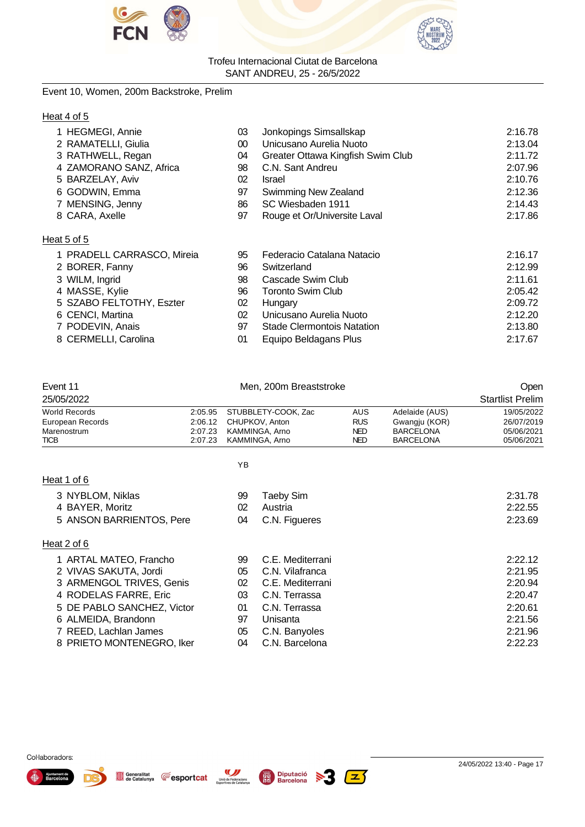



# Event 10, Women, 200m Backstroke, Prelim

# Heat 4 of 5

| 1 HEGMEGI, Annie           | 03     | Jonkopings Simsallskap            | 2:16.78 |
|----------------------------|--------|-----------------------------------|---------|
| 2 RAMATELLI, Giulia        | $00\,$ | Unicusano Aurelia Nuoto           | 2:13.04 |
| 3 RATHWELL, Regan          | 04     | Greater Ottawa Kingfish Swim Club | 2:11.72 |
| 4 ZAMORANO SANZ, Africa    | 98     | C.N. Sant Andreu                  | 2:07.96 |
| 5 BARZELAY, Aviv           | 02     | Israel                            | 2:10.76 |
| 6 GODWIN, Emma             | 97     | Swimming New Zealand              | 2:12.36 |
| 7 MENSING, Jenny           | 86     | SC Wiesbaden 1911                 | 2:14.43 |
| 8 CARA, Axelle             | 97     | Rouge et Or/Universite Laval      | 2:17.86 |
| Heat 5 of 5                |        |                                   |         |
| 1 PRADELL CARRASCO, Mireia | 95     | Federacio Catalana Natacio        | 2:16.17 |
| 2 BORER, Fanny             | 96     | Switzerland                       | 2:12.99 |
| 3 WILM, Ingrid             | 98     | Cascade Swim Club                 | 2:11.61 |
| 4 MASSE, Kylie             | 96     | <b>Toronto Swim Club</b>          | 2:05.42 |
| 5 SZABO FELTOTHY, Eszter   | 02     | Hungary                           | 2:09.72 |
| 6 CENCI, Martina           | 02     | Unicusano Aurelia Nuoto           | 2:12.20 |
| 7 PODEVIN, Anais           | 97     | <b>Stade Clermontois Natation</b> | 2:13.80 |
| 8 CERMELLI, Carolina       | 01     | Equipo Beldagans Plus             | 2:17.67 |

| Event 11                   |         |                | Men, 200m Breaststroke | Open       |                  |                         |
|----------------------------|---------|----------------|------------------------|------------|------------------|-------------------------|
| 25/05/2022                 |         |                |                        |            |                  | <b>Startlist Prelim</b> |
| <b>World Records</b>       | 2:05.95 |                | STUBBLETY-COOK, Zac    | <b>AUS</b> | Adelaide (AUS)   | 19/05/2022              |
| European Records           | 2:06.12 | CHUPKOV, Anton |                        | <b>RUS</b> | Gwangju (KOR)    | 26/07/2019              |
| Marenostrum                | 2:07.23 |                | KAMMINGA, Arno         | <b>NED</b> | <b>BARCELONA</b> | 05/06/2021              |
| <b>TICB</b>                | 2:07.23 |                | KAMMINGA, Arno         | <b>NED</b> | <b>BARCELONA</b> | 05/06/2021              |
|                            |         | ΥB             |                        |            |                  |                         |
| Heat 1 of 6                |         |                |                        |            |                  |                         |
| 3 NYBLOM, Niklas           |         | 99             | Taeby Sim              |            |                  | 2:31.78                 |
| 4 BAYER, Moritz            |         | 02             | Austria                |            |                  | 2:22.55                 |
| 5 ANSON BARRIENTOS, Pere   |         | 04             | C.N. Figueres          |            |                  | 2:23.69                 |
| Heat 2 of 6                |         |                |                        |            |                  |                         |
| 1 ARTAL MATEO, Francho     |         | 99             | C.E. Mediterrani       |            |                  | 2:22.12                 |
| 2 VIVAS SAKUTA, Jordi      |         | 05             | C.N. Vilafranca        |            |                  | 2:21.95                 |
| 3 ARMENGOL TRIVES, Genis   |         | 02             | C.E. Mediterrani       |            |                  | 2:20.94                 |
| 4 RODELAS FARRE, Eric      |         | 03             | C.N. Terrassa          |            |                  | 2:20.47                 |
| 5 DE PABLO SANCHEZ, Victor |         | 01             | C.N. Terrassa          |            |                  | 2:20.61                 |
| 6 ALMEIDA, Brandonn        |         | 97             | Unisanta               |            |                  | 2:21.56                 |
| 7 REED, Lachlan James      |         | 05             | C.N. Banyoles          |            |                  | 2:21.96                 |
| 8 PRIETO MONTENEGRO, Iker  |         | 04             | C.N. Barcelona         |            |                  | 2:22.23                 |





Generalitat **CESPORT Cat** Unió de Federacions

 $\boxed{\mathbb{Z}}$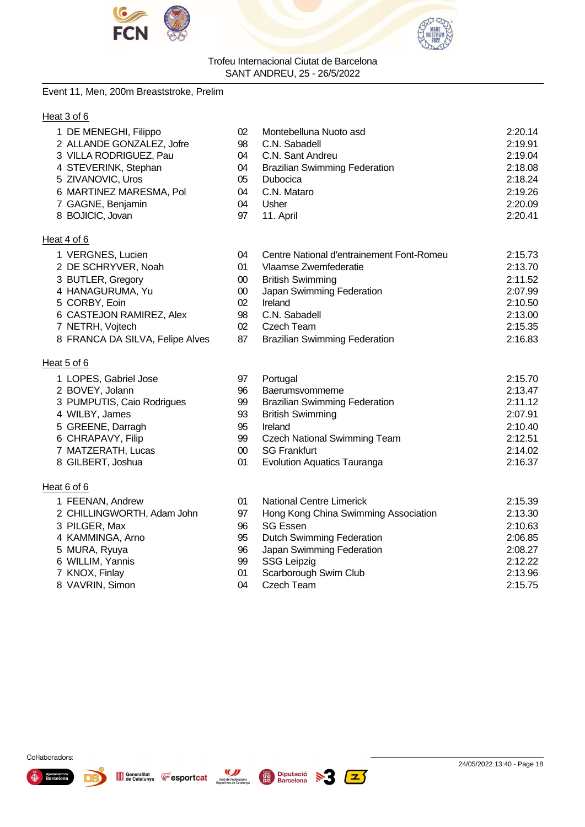



#### Event 11, Men, 200m Breaststroke, Prelim

#### Heat 3 of 6

| 1 DE MENEGHI, Filippo                                                                                                                                                                                                                                                                                              | 02 | Montebelluna Nuoto asd               | 2:20.14 |
|--------------------------------------------------------------------------------------------------------------------------------------------------------------------------------------------------------------------------------------------------------------------------------------------------------------------|----|--------------------------------------|---------|
| 2 ALLANDE GONZALEZ, Jofre                                                                                                                                                                                                                                                                                          | 98 | C.N. Sabadell                        | 2:19.91 |
| 3 VILLA RODRIGUEZ, Pau                                                                                                                                                                                                                                                                                             | 04 | C.N. Sant Andreu                     | 2:19.04 |
| 4 STEVERINK, Stephan                                                                                                                                                                                                                                                                                               | 04 | <b>Brazilian Swimming Federation</b> | 2:18.08 |
| 5 ZIVANOVIC, Uros                                                                                                                                                                                                                                                                                                  | 05 | <b>Dubocica</b>                      | 2:18.24 |
| 6 MARTINEZ MARESMA, Pol                                                                                                                                                                                                                                                                                            | 04 | C.N. Mataro                          | 2:19.26 |
| 7 GAGNE, Benjamin                                                                                                                                                                                                                                                                                                  | 04 | Usher                                | 2:20.09 |
| 8 BOJICIC, Jovan                                                                                                                                                                                                                                                                                                   | 97 | 11. April                            | 2:20.41 |
| Heat 4 of 6                                                                                                                                                                                                                                                                                                        |    |                                      |         |
| $\sqrt{2}$ $\sqrt{2}$ $\sqrt{2}$ $\sqrt{2}$ $\sqrt{2}$ $\sqrt{2}$ $\sqrt{2}$ $\sqrt{2}$ $\sqrt{2}$ $\sqrt{2}$ $\sqrt{2}$ $\sqrt{2}$ $\sqrt{2}$ $\sqrt{2}$ $\sqrt{2}$ $\sqrt{2}$ $\sqrt{2}$ $\sqrt{2}$ $\sqrt{2}$ $\sqrt{2}$ $\sqrt{2}$ $\sqrt{2}$ $\sqrt{2}$ $\sqrt{2}$ $\sqrt{2}$ $\sqrt{2}$ $\sqrt{2}$ $\sqrt{2$ |    | .                                    |         |

# 1 VERGNES, Lucien 04 Centre National d'entrainement Font-Romeu 2:15.73 2 DE SCHRYVER, Noah 01 Vlaamse Zwemfederatie 2:13.70 3 BUTLER, Gregory 00 British Swimming 2:11.52 4 HANAGURUMA, Yu 00 Japan Swimming Federation 2:07.99 5 CORBY, Eoin 02 Ireland 2:10.50 6 CASTEJON RAMIREZ, Alex 98 C.N. Sabadell 7 NETRH, Vojtech 02 Czech Team 2:15.35 8 FRANCA DA SILVA, Felipe Alves 87 Brazilian Swimming Federation 2:16.83

|  | Heat 5 of 6 |  |  |  |
|--|-------------|--|--|--|
|--|-------------|--|--|--|

Heat 6 of 6

1 FEENAN, Andrew

3 PILGER, Max 4 KAMMINGA, Arno 5 MURA, Ryuya 6 WILLIM, Yannis 7 KNOX, Finlay 8 VAVRIN, Simon

2 CHILLINGWORTH, Adam John

| 1 LOPES, Gabriel Jose      | 97 | Portugal                             | 2:15.70 |
|----------------------------|----|--------------------------------------|---------|
| 2 BOVEY, Jolann            | 96 | Baerumsvommerne                      | 2:13.47 |
| 3 PUMPUTIS, Caio Rodrigues | 99 | <b>Brazilian Swimming Federation</b> | 2:11.12 |
| 4 WILBY, James             | 93 | <b>British Swimming</b>              | 2:07.91 |
| 5 GREENE, Darragh          | 95 | Ireland                              | 2:10.40 |
| 6 CHRAPAVY, Filip          | 99 | <b>Czech National Swimming Team</b>  | 2:12.51 |
| 7 MATZERATH, Lucas         | 00 | <b>SG Frankfurt</b>                  | 2:14.02 |
| 8 GILBERT, Joshua          | 01 | <b>Evolution Aquatics Tauranga</b>   | 2:16.37 |

| 01 | <b>National Centre Limerick</b>      | 2:15.39 |
|----|--------------------------------------|---------|
| 97 | Hong Kong China Swimming Association | 2:13.30 |
| 96 | <b>SG Essen</b>                      | 2:10.63 |
| 95 | <b>Dutch Swimming Federation</b>     | 2:06.85 |
| 96 | Japan Swimming Federation            | 2:08.27 |
| 99 | <b>SSG Leipzig</b>                   | 2:12.22 |
| 01 | Scarborough Swim Club                | 2:13.96 |
| 04 | <b>Czech Team</b>                    | 2:15.75 |









 $\mathbf{z}$  )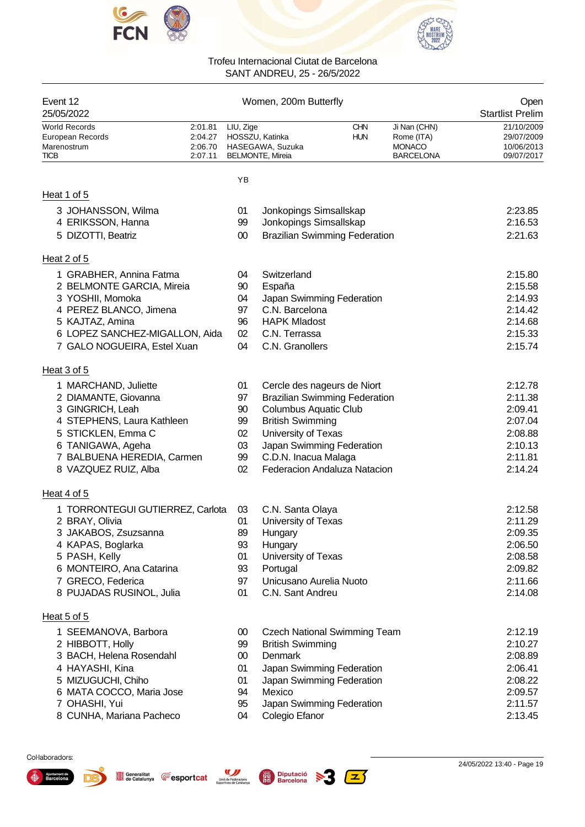



| Event 12<br>25/05/2022                                                 |                                          | Open<br><b>Startlist Prelim</b> |                                                                |                          |                                                                 |                                                      |
|------------------------------------------------------------------------|------------------------------------------|---------------------------------|----------------------------------------------------------------|--------------------------|-----------------------------------------------------------------|------------------------------------------------------|
| <b>World Records</b><br>European Records<br>Marenostrum<br><b>TICB</b> | 2:01.81<br>2:04.27<br>2:06.70<br>2:07.11 | LIU, Zige                       | HOSSZU, Katinka<br>HASEGAWA, Suzuka<br><b>BELMONTE, Mireia</b> | <b>CHN</b><br><b>HUN</b> | Ji Nan (CHN)<br>Rome (ITA)<br><b>MONACO</b><br><b>BARCELONA</b> | 21/10/2009<br>29/07/2009<br>10/06/2013<br>09/07/2017 |
|                                                                        |                                          | YB                              |                                                                |                          |                                                                 |                                                      |
| Heat 1 of 5                                                            |                                          |                                 |                                                                |                          |                                                                 |                                                      |
| 3 JOHANSSON, Wilma                                                     |                                          | 01                              | Jonkopings Simsallskap                                         |                          |                                                                 | 2:23.85                                              |
| 4 ERIKSSON, Hanna                                                      |                                          | 99                              | Jonkopings Simsallskap                                         |                          |                                                                 | 2:16.53                                              |
| 5 DIZOTTI, Beatriz                                                     |                                          | $00\,$                          | <b>Brazilian Swimming Federation</b>                           |                          |                                                                 | 2:21.63                                              |
| Heat 2 of 5                                                            |                                          |                                 |                                                                |                          |                                                                 |                                                      |
| 1 GRABHER, Annina Fatma                                                |                                          | 04                              | Switzerland                                                    |                          |                                                                 | 2:15.80                                              |
| 2 BELMONTE GARCIA, Mireia                                              |                                          | 90                              | España                                                         |                          |                                                                 | 2:15.58                                              |
| 3 YOSHII, Momoka                                                       |                                          | 04                              | Japan Swimming Federation                                      |                          |                                                                 | 2:14.93                                              |
| 4 PEREZ BLANCO, Jimena                                                 |                                          | 97                              | C.N. Barcelona                                                 |                          |                                                                 | 2:14.42                                              |
| 5 KAJTAZ, Amina                                                        |                                          | 96                              | <b>HAPK Mladost</b>                                            |                          |                                                                 | 2:14.68                                              |
| 6 LOPEZ SANCHEZ-MIGALLON, Aida                                         |                                          | 02                              | C.N. Terrassa<br>C.N. Granollers                               |                          |                                                                 | 2:15.33<br>2:15.74                                   |
| 7 GALO NOGUEIRA, Estel Xuan                                            |                                          | 04                              |                                                                |                          |                                                                 |                                                      |
| Heat 3 of 5                                                            |                                          |                                 |                                                                |                          |                                                                 |                                                      |
| 1 MARCHAND, Juliette                                                   |                                          | 01                              | Cercle des nageurs de Niort                                    |                          |                                                                 | 2:12.78                                              |
| 2 DIAMANTE, Giovanna                                                   |                                          | 97                              | <b>Brazilian Swimming Federation</b>                           |                          |                                                                 | 2:11.38                                              |
| 3 GINGRICH, Leah<br>4 STEPHENS, Laura Kathleen                         |                                          | 90<br>99                        | <b>Columbus Aquatic Club</b><br><b>British Swimming</b>        |                          |                                                                 | 2:09.41<br>2:07.04                                   |
| 5 STICKLEN, Emma C                                                     |                                          | 02                              | University of Texas                                            |                          |                                                                 | 2:08.88                                              |
| 6 TANIGAWA, Ageha                                                      |                                          | 03                              | Japan Swimming Federation                                      |                          |                                                                 | 2:10.13                                              |
| 7 BALBUENA HEREDIA, Carmen                                             |                                          | 99                              | C.D.N. Inacua Malaga                                           |                          |                                                                 | 2:11.81                                              |
| 8 VAZQUEZ RUIZ, Alba                                                   |                                          | 02                              | Federacion Andaluza Natacion                                   |                          |                                                                 | 2:14.24                                              |
| Heat 4 of 5                                                            |                                          |                                 |                                                                |                          |                                                                 |                                                      |
| 1 TORRONTEGUI GUTIERREZ, Carlota                                       |                                          | 03                              | C.N. Santa Olaya                                               |                          |                                                                 | 2:12.58                                              |
| 2 BRAY, Olivia                                                         |                                          | 01                              | University of Texas                                            |                          |                                                                 | 2:11.29                                              |
| 3 JAKABOS, Zsuzsanna                                                   |                                          | 89                              | Hungary                                                        |                          |                                                                 | 2:09.35                                              |
| 4 KAPAS, Boglarka                                                      |                                          | 93                              | Hungary                                                        |                          |                                                                 | 2:06.50                                              |
| 5 PASH, Kelly                                                          |                                          | 01                              | University of Texas                                            |                          |                                                                 | 2:08.58                                              |
| 6 MONTEIRO, Ana Catarina<br>7 GRECO, Federica                          |                                          | 93<br>97                        | Portugal<br>Unicusano Aurelia Nuoto                            |                          |                                                                 | 2:09.82<br>2:11.66                                   |
| 8 PUJADAS RUSINOL, Julia                                               |                                          | 01                              | C.N. Sant Andreu                                               |                          |                                                                 | 2:14.08                                              |
| Heat 5 of 5                                                            |                                          |                                 |                                                                |                          |                                                                 |                                                      |
| 1 SEEMANOVA, Barbora                                                   |                                          | 00                              | <b>Czech National Swimming Team</b>                            |                          |                                                                 | 2:12.19                                              |
| 2 HIBBOTT, Holly                                                       |                                          | 99                              | <b>British Swimming</b>                                        |                          |                                                                 | 2:10.27                                              |
| 3 BACH, Helena Rosendahl                                               |                                          | $00\,$                          | Denmark                                                        |                          |                                                                 | 2:08.89                                              |
| 4 HAYASHI, Kina                                                        |                                          | 01                              | Japan Swimming Federation                                      |                          |                                                                 | 2:06.41                                              |
| 5 MIZUGUCHI, Chiho                                                     |                                          | 01                              | Japan Swimming Federation                                      |                          |                                                                 | 2:08.22                                              |
| 6 MATA COCCO, Maria Jose<br>7 OHASHI, Yui                              |                                          | 94<br>95                        | Mexico<br>Japan Swimming Federation                            |                          |                                                                 | 2:09.57<br>2:11.57                                   |
| 8 CUNHA, Mariana Pacheco                                               |                                          | 04                              | Colegio Efanor                                                 |                          |                                                                 | 2:13.45                                              |

 $\sqrt{25}$ 

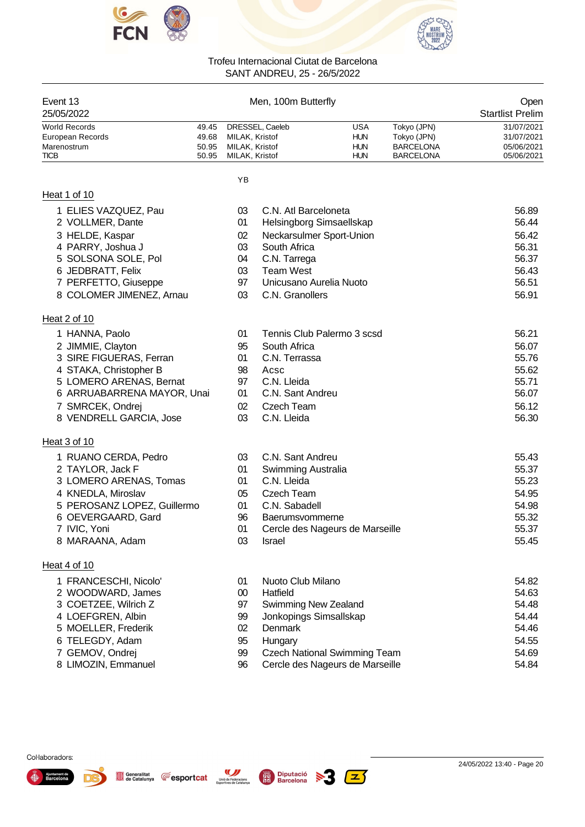



|                             |       |                     | SAN I ANDREU, 25 - 26/5/2022 |                                     |                                 |            |
|-----------------------------|-------|---------------------|------------------------------|-------------------------------------|---------------------------------|------------|
| Event 13<br>25/05/2022      |       | Men, 100m Butterfly |                              |                                     | Open<br><b>Startlist Prelim</b> |            |
| <b>World Records</b>        | 49.45 |                     | DRESSEL, Caeleb              | USA                                 | Tokyo (JPN)                     | 31/07/2021 |
| European Records            | 49.68 | MILAK, Kristof      |                              | <b>HUN</b>                          | Tokyo (JPN)                     | 31/07/2021 |
| Marenostrum                 | 50.95 | MILAK, Kristof      |                              | <b>HUN</b>                          | BARCELONA                       | 05/06/2021 |
| <b>TICB</b>                 | 50.95 | MILAK, Kristof      |                              | HUN                                 | BARCELONA                       | 05/06/2021 |
|                             |       | YB                  |                              |                                     |                                 |            |
| Heat 1 of 10                |       |                     |                              |                                     |                                 |            |
| 1 ELIES VAZQUEZ, Pau        |       | 03                  | C.N. Atl Barceloneta         |                                     |                                 | 56.89      |
| 2 VOLLMER, Dante            |       | 01                  |                              | Helsingborg Simsaellskap            |                                 | 56.44      |
| 3 HELDE, Kaspar             |       | 02                  |                              | Neckarsulmer Sport-Union            |                                 | 56.42      |
| 4 PARRY, Joshua J           |       | 03                  | South Africa                 |                                     |                                 | 56.31      |
| 5 SOLSONA SOLE, Pol         |       | 04                  | C.N. Tarrega                 |                                     |                                 | 56.37      |
| 6 JEDBRATT, Felix           |       | 03                  | <b>Team West</b>             |                                     |                                 | 56.43      |
| 7 PERFETTO, Giuseppe        |       | 97                  | Unicusano Aurelia Nuoto      |                                     |                                 | 56.51      |
| 8 COLOMER JIMENEZ, Arnau    |       | 03                  | C.N. Granollers              |                                     |                                 | 56.91      |
| Heat 2 of 10                |       |                     |                              |                                     |                                 |            |
| 1 HANNA, Paolo              |       | 01                  |                              | Tennis Club Palermo 3 scsd          |                                 | 56.21      |
| 2 JIMMIE, Clayton           |       | 95                  | South Africa                 |                                     |                                 | 56.07      |
| 3 SIRE FIGUERAS, Ferran     |       | 01                  | C.N. Terrassa                |                                     |                                 | 55.76      |
| 4 STAKA, Christopher B      |       | 98                  | Acsc                         |                                     |                                 | 55.62      |
| 5 LOMERO ARENAS, Bernat     |       | 97                  | C.N. Lleida                  |                                     |                                 | 55.71      |
| 6 ARRUABARRENA MAYOR, Unai  |       | 01                  | C.N. Sant Andreu             |                                     |                                 | 56.07      |
| 7 SMRCEK, Ondrej            |       | 02                  | Czech Team                   |                                     |                                 | 56.12      |
| 8 VENDRELL GARCIA, Jose     |       | 03                  | C.N. Lleida                  |                                     |                                 | 56.30      |
| Heat 3 of 10                |       |                     |                              |                                     |                                 |            |
| 1 RUANO CERDA, Pedro        |       | 03                  | C.N. Sant Andreu             |                                     |                                 | 55.43      |
| 2 TAYLOR, Jack F            |       | 01                  | Swimming Australia           |                                     |                                 | 55.37      |
| 3 LOMERO ARENAS, Tomas      |       | 01                  | C.N. Lleida                  |                                     |                                 | 55.23      |
| 4 KNEDLA, Miroslav          |       | 05                  | Czech Team                   |                                     |                                 | 54.95      |
| 5 PEROSANZ LOPEZ, Guillermo |       | 01                  | C.N. Sabadell                |                                     |                                 | 54.98      |
| 6 OEVERGAARD, Gard          |       | 96                  | <b>Baerumsvommerne</b>       |                                     |                                 | 55.32      |
| 7 IVIC, Yoni                |       | 01                  |                              | Cercle des Nageurs de Marseille     |                                 | 55.37      |
| 8 MARAANA, Adam             |       | 03                  | Israel                       |                                     |                                 | 55.45      |
| Heat 4 of 10                |       |                     |                              |                                     |                                 |            |
| 1 FRANCESCHI, Nicolo'       |       | 01                  | Nuoto Club Milano            |                                     |                                 | 54.82      |
| 2 WOODWARD, James           |       | 00                  | Hatfield                     |                                     |                                 | 54.63      |
| 3 COETZEE, Wilrich Z        |       | 97                  | Swimming New Zealand         |                                     |                                 | 54.48      |
| 4 LOEFGREN, Albin           |       | 99                  | Jonkopings Simsallskap       |                                     |                                 | 54.44      |
| 5 MOELLER, Frederik         |       | 02                  | <b>Denmark</b>               |                                     |                                 | 54.46      |
| 6 TELEGDY, Adam             |       | 95                  | Hungary                      |                                     |                                 | 54.55      |
| 7 GEMOV, Ondrej             |       | 99                  |                              | <b>Czech National Swimming Team</b> |                                 | 54.69      |
| 8 LIMOZIN, Emmanuel         |       | 96                  |                              | Cercle des Nageurs de Marseille     |                                 | 54.84      |

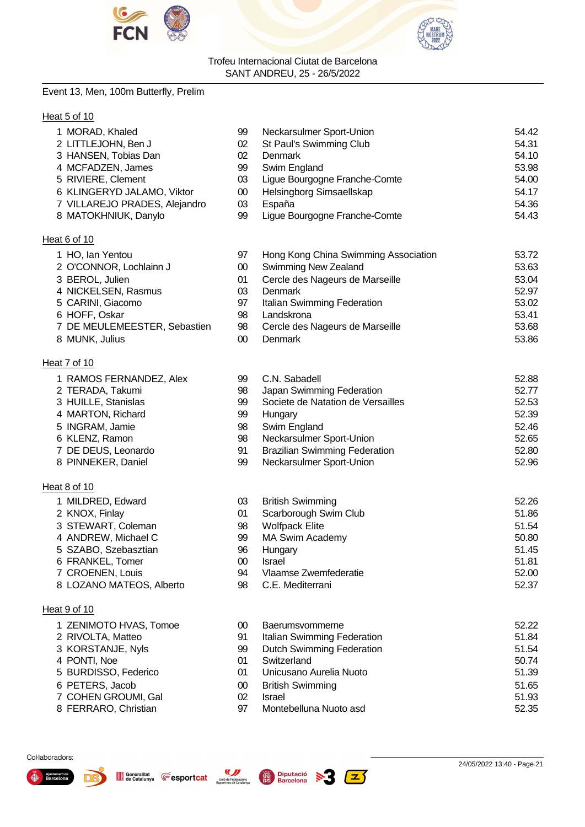



# Event 13, Men, 100m Butterfly, Prelim

# Heat 5 of 10

| 1 MORAD, Khaled               | 99     | Neckarsulmer Sport-Union             | 54.42 |
|-------------------------------|--------|--------------------------------------|-------|
| 2 LITTLEJOHN, Ben J           | 02     | St Paul's Swimming Club              | 54.31 |
| 3 HANSEN, Tobias Dan          | 02     | Denmark                              | 54.10 |
| 4 MCFADZEN, James             | 99     | Swim England                         | 53.98 |
| 5 RIVIERE, Clement            | 03     | Ligue Bourgogne Franche-Comte        | 54.00 |
| 6 KLINGERYD JALAMO, Viktor    | $00\,$ | Helsingborg Simsaellskap             | 54.17 |
| 7 VILLAREJO PRADES, Alejandro | 03     | España                               | 54.36 |
| 8 MATOKHNIUK, Danylo          | 99     | Ligue Bourgogne Franche-Comte        | 54.43 |
| Heat 6 of 10                  |        |                                      |       |
| 1 HO, Ian Yentou              | 97     | Hong Kong China Swimming Association | 53.72 |
| 2 O'CONNOR, Lochlainn J       | $00\,$ | Swimming New Zealand                 | 53.63 |
| 3 BEROL, Julien               | 01     | Cercle des Nageurs de Marseille      | 53.04 |
| 4 NICKELSEN, Rasmus           | 03     | Denmark                              | 52.97 |
| 5 CARINI, Giacomo             | 97     | Italian Swimming Federation          | 53.02 |
| 6 HOFF, Oskar                 | 98     | Landskrona                           | 53.41 |
| 7 DE MEULEMEESTER, Sebastien  | 98     | Cercle des Nageurs de Marseille      | 53.68 |
| 8 MUNK, Julius                | $00\,$ | Denmark                              | 53.86 |
| Heat 7 of 10                  |        |                                      |       |
| 1 RAMOS FERNANDEZ, Alex       | 99     | C.N. Sabadell                        | 52.88 |
| 2 TERADA, Takumi              | 98     | Japan Swimming Federation            | 52.77 |
| 3 HUILLE, Stanislas           | 99     | Societe de Natation de Versailles    | 52.53 |
| 4 MARTON, Richard             | 99     | Hungary                              | 52.39 |
| 5 INGRAM, Jamie               | 98     | Swim England                         | 52.46 |
| 6 KLENZ, Ramon                | 98     | Neckarsulmer Sport-Union             | 52.65 |
| 7 DE DEUS, Leonardo           | 91     | <b>Brazilian Swimming Federation</b> | 52.80 |
| 8 PINNEKER, Daniel            | 99     | Neckarsulmer Sport-Union             | 52.96 |
| Heat 8 of 10                  |        |                                      |       |
| 1 MILDRED, Edward             | 03     | <b>British Swimming</b>              | 52.26 |
| 2 KNOX, Finlay                | 01     | Scarborough Swim Club                | 51.86 |
| 3 STEWART, Coleman            | 98     | <b>Wolfpack Elite</b>                | 51.54 |
| 4 ANDREW, Michael C           | 99     | <b>MA Swim Academy</b>               | 50.80 |
| 5 SZABO, Szebasztian          | 96     | Hungary                              | 51.45 |
| 6 FRANKEL, Tomer              | 00     | Israel                               | 51.81 |
| 7 CROENEN, Louis              | 94     | Vlaamse Zwemfederatie                | 52.00 |
| 8 LOZANO MATEOS, Alberto      | 98     | C.E. Mediterrani                     | 52.37 |
| Heat 9 of 10                  |        |                                      |       |
| 1 ZENIMOTO HVAS, Tomoe        | $00\,$ | <b>Baerumsvommerne</b>               | 52.22 |
| 2 RIVOLTA, Matteo             | 91     | Italian Swimming Federation          | 51.84 |

- 
- KORSTANJE, Nyls 99 Dutch Swimming Federation 51.54
- 4 PONTI, Noe 601 Switzerland 50.74
- BURDISSO, Federico 01 Unicusano Aurelia Nuoto 51.39
- PETERS, Jacob 00 British Swimming 51.65
- COHEN GROUMI, Gal 02 Israel 51.93
- FERRARO, Christian 97 Montebelluna Nuoto asd 52.35
	-

Ajuntament<br>Barcelor

Col·laboradors:





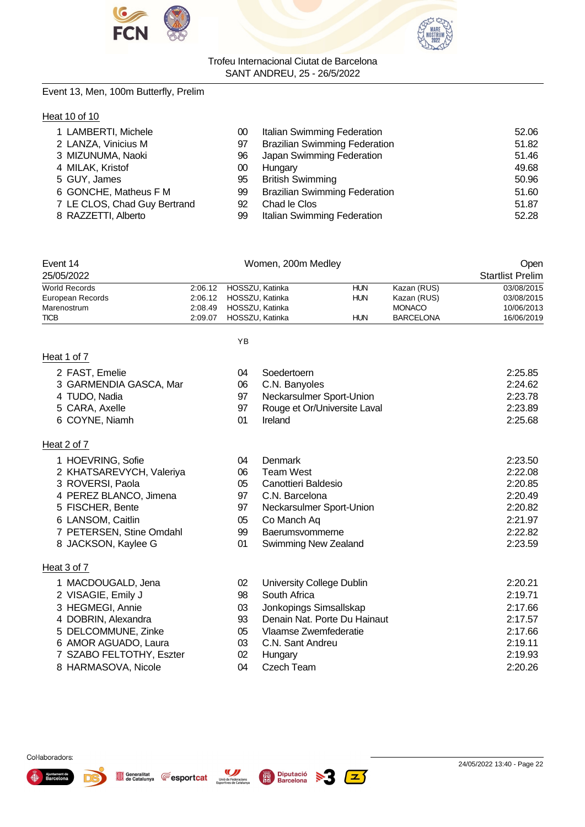



# Event 13, Men, 100m Butterfly, Prelim

# **Heat 10 of 10**

| 1 LAMBERTI, Michele          | 00 | Italian Swimming Federation          | 52.06 |
|------------------------------|----|--------------------------------------|-------|
| 2 LANZA, Vinicius M          | 97 | <b>Brazilian Swimming Federation</b> | 51.82 |
| 3 MIZUNUMA, Naoki            | 96 | Japan Swimming Federation            | 51.46 |
| 4 MILAK, Kristof             | 00 | Hungary                              | 49.68 |
| 5 GUY, James                 | 95 | <b>British Swimming</b>              | 50.96 |
| 6 GONCHE, Matheus F M        | 99 | <b>Brazilian Swimming Federation</b> | 51.60 |
| 7 LE CLOS, Chad Guy Bertrand | 92 | Chad le Clos                         | 51.87 |
| 8 RAZZETTI, Alberto          | 99 | Italian Swimming Federation          | 52.28 |

| Event 14         |         | Women, 200m Medley      |            |                  | Open                    |
|------------------|---------|-------------------------|------------|------------------|-------------------------|
| 25/05/2022       |         |                         |            |                  | <b>Startlist Prelim</b> |
| World Records    |         | 2:06.12 HOSSZU, Katinka | <b>HUN</b> | Kazan (RUS)      | 03/08/2015              |
| European Records |         | 2:06.12 HOSSZU, Katinka | <b>HUN</b> | Kazan (RUS)      | 03/08/2015              |
| Marenostrum      | 2:08.49 | HOSSZU, Katinka         |            | <b>MONACO</b>    | 10/06/2013              |
| <b>TICB</b>      | 2:09.07 | HOSSZU, Katinka         | <b>HUN</b> | <b>BARCELONA</b> | 16/06/2019              |

YB

# Heat 1 of 7

Heat 2 of 7

2 FAST, Emelie

4 TUDO, Nadia 5 CARA, Axelle 6 COYNE, Niamh

1 HOEVRING, Sofie

3 ROVERSI, Paola

5 FISCHER, Bente 6 LANSOM, Caitlin

3 GARMENDIA GASCA, Mar

2 KHATSAREVYCH, Valeriya

4 PEREZ BLANCO, Jimena

7 PETERSEN, Stine Omdahl 8 JACKSON, Kaylee G

| 04 | Soedertoern                  | 2:25.85 |
|----|------------------------------|---------|
| 06 | C.N. Banyoles                | 2:24.62 |
| 97 | Neckarsulmer Sport-Union     | 2:23.78 |
| 97 | Rouge et Or/Universite Laval | 2:23.89 |
| 01 | Ireland                      | 2:25.68 |
|    |                              |         |
| 04 | Denmark                      | 2:23.50 |
| 06 | <b>Team West</b>             | 2:22.08 |
| 05 | Canottieri Baldesio          | 2:20.85 |
| 97 | C.N. Barcelona               | 2:20.49 |
| 97 | Neckarsulmer Sport-Union     | 2:20.82 |
| 05 | Co Manch Aq                  | 2:21.97 |
| 99 | Baerumsvommerne              | 2:22.82 |
| 01 | <b>Swimming New Zealand</b>  | 2:23.59 |

# Heat 3 of 7

| 1 MACDOUGALD, Jena       | 02 | University College Dublin    | 2:20.21 |
|--------------------------|----|------------------------------|---------|
| 2 VISAGIE, Emily J       | 98 | South Africa                 | 2:19.71 |
| 3 HEGMEGI, Annie         | 03 | Jonkopings Simsallskap       | 2:17.66 |
| 4 DOBRIN, Alexandra      | 93 | Denain Nat. Porte Du Hainaut | 2:17.57 |
| 5 DELCOMMUNE, Zinke      | 05 | Vlaamse Zwemfederatie        | 2:17.66 |
| 6 AMOR AGUADO, Laura     | 03 | C.N. Sant Andreu             | 2:19.11 |
| 7 SZABO FELTOTHY, Eszter | 02 | Hungary                      | 2:19.93 |
| 8 HARMASOVA, Nicole      | 04 | Czech Team                   | 2:20.26 |
|                          |    |                              |         |







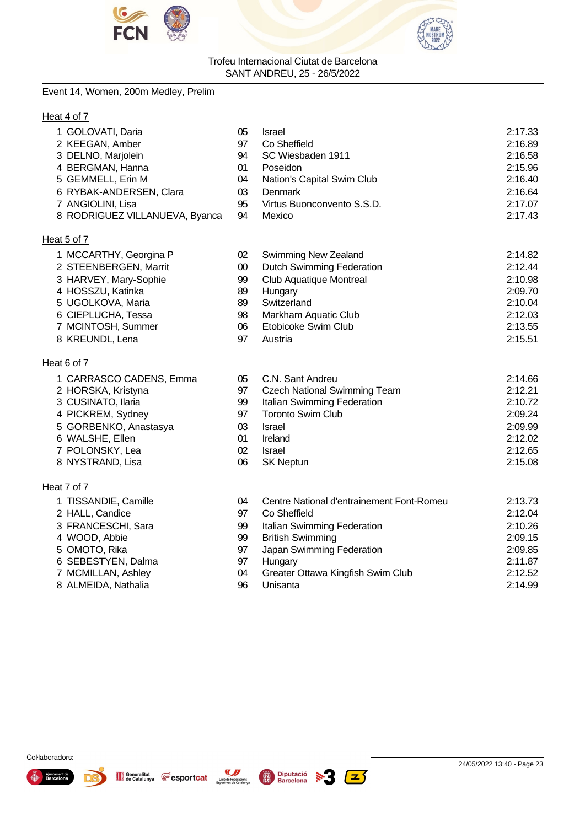



# Event 14, Women, 200m Medley, Prelim

# Heat 4 of 7

| 1 GOLOVATI, Daria              | 05     | <b>Israel</b>                             | 2:17.33 |
|--------------------------------|--------|-------------------------------------------|---------|
| 2 KEEGAN, Amber                | 97     | Co Sheffield                              | 2:16.89 |
| 3 DELNO, Marjolein             | 94     | SC Wiesbaden 1911                         | 2:16.58 |
| 4 BERGMAN, Hanna               | 01     | Poseidon                                  | 2:15.96 |
| 5 GEMMELL, Erin M              | 04     | Nation's Capital Swim Club                | 2:16.40 |
| 6 RYBAK-ANDERSEN, Clara        | 03     | <b>Denmark</b>                            | 2:16.64 |
| 7 ANGIOLINI, Lisa              | 95     | Virtus Buonconvento S.S.D.                | 2:17.07 |
| 8 RODRIGUEZ VILLANUEVA, Byanca | 94     | Mexico                                    | 2:17.43 |
| Heat 5 of 7                    |        |                                           |         |
| 1 MCCARTHY, Georgina P         | 02     | Swimming New Zealand                      | 2:14.82 |
| 2 STEENBERGEN, Marrit          | $00\,$ | <b>Dutch Swimming Federation</b>          | 2:12.44 |
| 3 HARVEY, Mary-Sophie          | 99     | <b>Club Aquatique Montreal</b>            | 2:10.98 |
| 4 HOSSZU, Katinka              | 89     | Hungary                                   | 2:09.70 |
| 5 UGOLKOVA, Maria              | 89     | Switzerland                               | 2:10.04 |
| 6 CIEPLUCHA, Tessa             | 98     | Markham Aquatic Club                      | 2:12.03 |
| 7 MCINTOSH, Summer             | 06     | Etobicoke Swim Club                       | 2:13.55 |
| 8 KREUNDL, Lena                | 97     | Austria                                   | 2:15.51 |
| Heat 6 of 7                    |        |                                           |         |
| 1 CARRASCO CADENS, Emma        | 05     | C.N. Sant Andreu                          | 2:14.66 |
| 2 HORSKA, Kristyna             | 97     | <b>Czech National Swimming Team</b>       | 2:12.21 |
| 3 CUSINATO, Ilaria             | 99     | Italian Swimming Federation               | 2:10.72 |
| 4 PICKREM, Sydney              | 97     | <b>Toronto Swim Club</b>                  | 2:09.24 |
| 5 GORBENKO, Anastasya          | 03     | <b>Israel</b>                             | 2:09.99 |
| 6 WALSHE, Ellen                | 01     | Ireland                                   | 2:12.02 |
| 7 POLONSKY, Lea                | 02     | <b>Israel</b>                             | 2:12.65 |
| 8 NYSTRAND, Lisa               | 06     | <b>SK Neptun</b>                          | 2:15.08 |
| Heat 7 of 7                    |        |                                           |         |
| 1 TISSANDIE, Camille           | 04     | Centre National d'entrainement Font-Romeu | 2:13.73 |

| ()4 | Centre National d'entrainement Font-Romeu | 2:13.73 |
|-----|-------------------------------------------|---------|
| 97  | Co Sheffield                              | 2:12.04 |
| 99  | Italian Swimming Federation               | 2:10.26 |
| 99  | <b>British Swimming</b>                   | 2:09.15 |
| 97  | Japan Swimming Federation                 | 2:09.85 |
| 97  | Hungary                                   | 2:11.87 |
| 04  | Greater Ottawa Kingfish Swim Club         | 2:12.52 |
| 96  | Unisanta                                  | 2:14.99 |
|     |                                           |         |



2 HALL, Candice 3 FRANCESCHI, Sara 4 WOOD, Abbie 5 OMOTO, Rika 6 SEBESTYEN, Dalma 7 MCMILLAN, Ashley 8 ALMEIDA, Nathalia





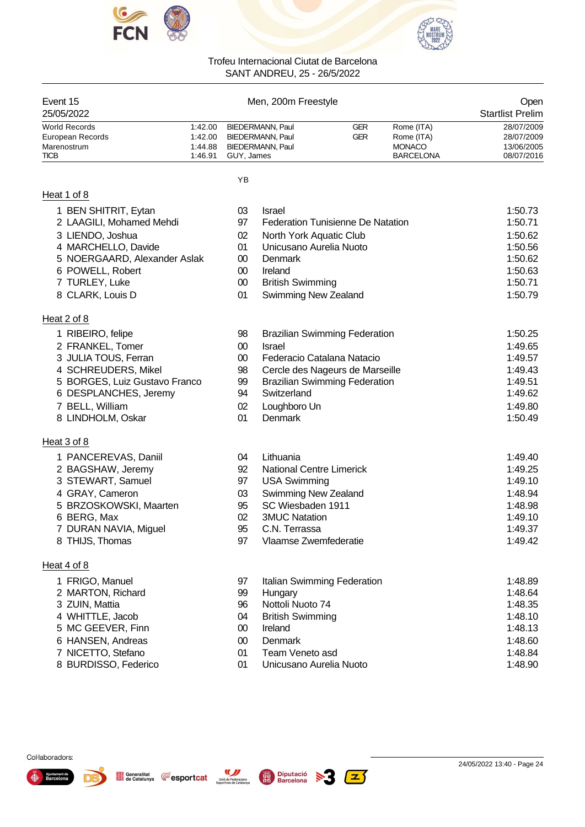



| Event 15<br>25/05/2022                                                 |                                          |            | Men, 200m Freestyle                                                    |                                          |                                                               | Open<br><b>Startlist Prelim</b>                      |
|------------------------------------------------------------------------|------------------------------------------|------------|------------------------------------------------------------------------|------------------------------------------|---------------------------------------------------------------|------------------------------------------------------|
| <b>World Records</b><br>European Records<br>Marenostrum<br><b>TICB</b> | 1:42.00<br>1:42.00<br>1:44.88<br>1:46.91 | GUY, James | <b>BIEDERMANN, Paul</b><br><b>BIEDERMANN, Paul</b><br>BIEDERMANN, Paul | GER<br>GER                               | Rome (ITA)<br>Rome (ITA)<br><b>MONACO</b><br><b>BARCELONA</b> | 28/07/2009<br>28/07/2009<br>13/06/2005<br>08/07/2016 |
|                                                                        |                                          | YB         |                                                                        |                                          |                                                               |                                                      |
| Heat 1 of 8                                                            |                                          |            |                                                                        |                                          |                                                               |                                                      |
| 1 BEN SHITRIT, Eytan                                                   |                                          | 03         | <b>Israel</b>                                                          |                                          |                                                               | 1:50.73                                              |
| 2 LAAGILI, Mohamed Mehdi                                               |                                          | 97         |                                                                        | <b>Federation Tunisienne De Natation</b> |                                                               | 1:50.71                                              |
| 3 LIENDO, Joshua                                                       |                                          | 02         | North York Aquatic Club                                                |                                          |                                                               | 1:50.62                                              |
| 4 MARCHELLO, Davide                                                    |                                          | 01         | Unicusano Aurelia Nuoto                                                |                                          |                                                               | 1:50.56                                              |
| 5 NOERGAARD, Alexander Aslak                                           |                                          | $00\,$     | Denmark                                                                |                                          |                                                               | 1:50.62                                              |
| 6 POWELL, Robert                                                       |                                          | $00\,$     | Ireland                                                                |                                          |                                                               | 1:50.63                                              |
| 7 TURLEY, Luke                                                         |                                          | $00\,$     | <b>British Swimming</b>                                                |                                          |                                                               | 1:50.71                                              |
| 8 CLARK, Louis D                                                       |                                          | 01         | <b>Swimming New Zealand</b>                                            |                                          |                                                               | 1:50.79                                              |
| Heat 2 of 8                                                            |                                          |            |                                                                        |                                          |                                                               |                                                      |
| 1 RIBEIRO, felipe                                                      |                                          | 98         |                                                                        | <b>Brazilian Swimming Federation</b>     |                                                               | 1:50.25                                              |
| 2 FRANKEL, Tomer                                                       |                                          | $00\,$     | <b>Israel</b>                                                          |                                          |                                                               | 1:49.65                                              |
| 3 JULIA TOUS, Ferran                                                   |                                          | $00\,$     |                                                                        | Federacio Catalana Natacio               |                                                               | 1:49.57                                              |
| 4 SCHREUDERS, Mikel                                                    |                                          | 98         |                                                                        | Cercle des Nageurs de Marseille          |                                                               | 1:49.43                                              |
| 5 BORGES, Luiz Gustavo Franco                                          |                                          | 99         |                                                                        | <b>Brazilian Swimming Federation</b>     |                                                               | 1:49.51                                              |
| 6 DESPLANCHES, Jeremy                                                  |                                          | 94         | Switzerland                                                            |                                          |                                                               | 1:49.62                                              |
| 7 BELL, William                                                        |                                          | 02         | Loughboro Un                                                           |                                          |                                                               | 1:49.80                                              |
| 8 LINDHOLM, Oskar                                                      |                                          | 01         | Denmark                                                                |                                          |                                                               | 1:50.49                                              |
| <u>Heat 3 of 8</u>                                                     |                                          |            |                                                                        |                                          |                                                               |                                                      |
| 1 PANCEREVAS, Daniil                                                   |                                          | 04         | Lithuania                                                              |                                          |                                                               | 1:49.40                                              |
| 2 BAGSHAW, Jeremy                                                      |                                          | 92         | <b>National Centre Limerick</b>                                        |                                          |                                                               | 1:49.25                                              |
| 3 STEWART, Samuel                                                      |                                          | 97         | <b>USA Swimming</b>                                                    |                                          |                                                               | 1:49.10                                              |
| 4 GRAY, Cameron                                                        |                                          | 03         | Swimming New Zealand                                                   |                                          |                                                               | 1:48.94                                              |
| 5 BRZOSKOWSKI, Maarten                                                 |                                          | 95         | SC Wiesbaden 1911                                                      |                                          |                                                               | 1:48.98                                              |
| 6 BERG, Max                                                            |                                          | 02         | <b>3MUC Natation</b>                                                   |                                          |                                                               | 1:49.10                                              |
| 7 DURAN NAVIA, Miguel                                                  |                                          | 95         | C.N. Terrassa                                                          |                                          |                                                               | 1:49.37                                              |
| 8 THIJS, Thomas                                                        |                                          | 97         | Vlaamse Zwemfederatie                                                  |                                          |                                                               | 1:49.42                                              |
| Heat 4 of 8                                                            |                                          |            |                                                                        |                                          |                                                               |                                                      |
| 1 FRIGO, Manuel                                                        |                                          | 97         |                                                                        | Italian Swimming Federation              |                                                               | 1:48.89                                              |
| 2 MARTON, Richard                                                      |                                          | 99         | Hungary                                                                |                                          |                                                               | 1:48.64                                              |
| 3 ZUIN, Mattia                                                         |                                          | 96         | Nottoli Nuoto 74                                                       |                                          |                                                               | 1:48.35                                              |
| 4 WHITTLE, Jacob                                                       |                                          | 04         | <b>British Swimming</b>                                                |                                          |                                                               | 1:48.10                                              |
| 5 MC GEEVER, Finn                                                      |                                          | $00\,$     | Ireland                                                                |                                          |                                                               | 1:48.13                                              |
| 6 HANSEN, Andreas                                                      |                                          | $00\,$     | <b>Denmark</b>                                                         |                                          |                                                               | 1:48.60                                              |
| 7 NICETTO, Stefano                                                     |                                          | 01         | Team Veneto asd                                                        |                                          |                                                               | 1:48.84                                              |
| 8 BURDISSO, Federico                                                   |                                          | 01         | Unicusano Aurelia Nuoto                                                |                                          |                                                               | 1:48.90                                              |





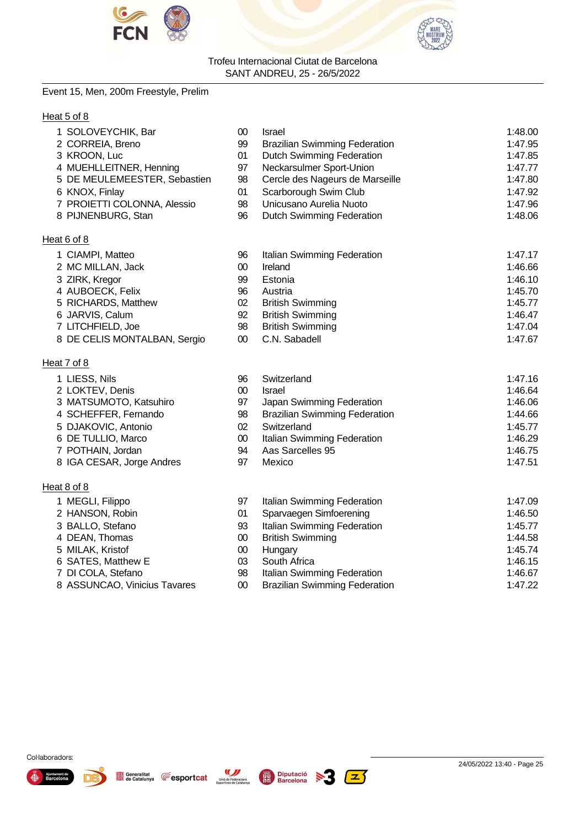



# Event 15, Men, 200m Freestyle, Prelim

# Heat 5 of 8

| 1 SOLOVEYCHIK, Bar           | 00 | Israel                               | 1:48.00 |
|------------------------------|----|--------------------------------------|---------|
| 2 CORREIA, Breno             | 99 | <b>Brazilian Swimming Federation</b> | 1:47.95 |
| 3 KROON, Luc                 | 01 | <b>Dutch Swimming Federation</b>     | 1:47.85 |
| 4 MUEHLLEITNER, Henning      | 97 | Neckarsulmer Sport-Union             | 1:47.77 |
| 5 DE MEULEMEESTER, Sebastien | 98 | Cercle des Nageurs de Marseille      | 1:47.80 |
| 6 KNOX, Finlay               | 01 | Scarborough Swim Club                | 1:47.92 |
| 7 PROIETTI COLONNA, Alessio  | 98 | Unicusano Aurelia Nuoto              | 1:47.96 |
| 8 PIJNENBURG, Stan           | 96 | Dutch Swimming Federation            | 1:48.06 |
| Heat 6 of 8                  |    |                                      |         |
| 1 CIAMPI, Matteo             | 96 | Italian Swimming Federation          | 1:47.17 |
| 2 MC MILLAN, Jack            | 00 | Ireland                              | 1:46.66 |
| 3 ZIRK, Kregor               | 99 | Estonia                              | 1:46.10 |
| 4 AUBOECK, Felix             | 96 | Austria                              | 1:45.70 |
| 5 RICHARDS, Matthew          | 02 | <b>British Swimming</b>              | 1:45.77 |
| 6 JARVIS, Calum              | 92 | <b>British Swimming</b>              | 1:46.47 |
| 7 LITCHFIELD, Joe            | 98 | <b>British Swimming</b>              | 1:47.04 |

8 DE CELIS MONTALBAN, Sergio 00 C.N. Sabadell 1:47.67

# Heat 7 of 8

| 1 LIESS, Nils             | 96 | Switzerland                          | 1:47.16 |
|---------------------------|----|--------------------------------------|---------|
| 2 LOKTEV, Denis           | 00 | <b>Israel</b>                        | 1:46.64 |
| 3 MATSUMOTO, Katsuhiro    | 97 | Japan Swimming Federation            | 1:46.06 |
| 4 SCHEFFER, Fernando      | 98 | <b>Brazilian Swimming Federation</b> | 1:44.66 |
| 5 DJAKOVIC, Antonio       | 02 | Switzerland                          | 1:45.77 |
| 6 DE TULLIO, Marco        | 00 | Italian Swimming Federation          | 1:46.29 |
| 7 POTHAIN, Jordan         | 94 | Aas Sarcelles 95                     | 1:46.75 |
| 8 IGA CESAR, Jorge Andres | 97 | Mexico                               | 1:47.51 |

97 Italian Swimming Federation 1:47.09 01 Sparvaegen Simfoerening 1:46.50

#### Heat 8 of 8

| 1 MEGLI, Filippo |
|------------------|
| 2 HANSON, Robin  |

- 3 BALLO, Stefano **1:45.77** 93 Italian Swimming Federation 1:45.77
- 4 DEAN, Thomas **00 British Swimming 1:44.58** 1:44.58
- 
- 5 MILAK, Kristof 00 Hungary 1:45.74 6 SATES, Matthew E 03 South Africa 1:46.15
- 
- 7 DI COLA, Stefano 98 Italian Swimming Federation 1:46.67 8 ASSUNCAO, Vinicius Tavares

Generalitat<br>de Catalunya

**Fesportcat** 





Col·laboradors:

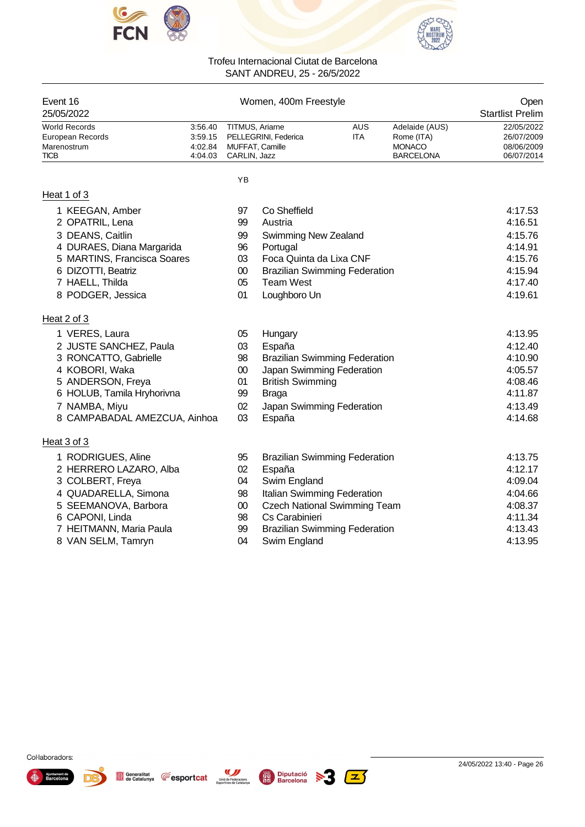



| Event 16                          |                    |                        | Women, 400m Freestyle                |                          |                              | Open                     |
|-----------------------------------|--------------------|------------------------|--------------------------------------|--------------------------|------------------------------|--------------------------|
| 25/05/2022                        |                    |                        |                                      |                          |                              | <b>Startlist Prelim</b>  |
| World Records<br>European Records | 3:56.40<br>3:59.15 | TITMUS, Ariarne        | PELLEGRINI, Federica                 | <b>AUS</b><br><b>ITA</b> | Adelaide (AUS)<br>Rome (ITA) | 22/05/2022<br>26/07/2009 |
| Marenostrum                       | 4:02.84            | <b>MUFFAT, Camille</b> |                                      |                          | <b>MONACO</b>                | 08/06/2009               |
| TICB                              | 4:04.03            | CARLIN, Jazz           |                                      |                          | <b>BARCELONA</b>             | 06/07/2014               |
|                                   |                    | YB                     |                                      |                          |                              |                          |
| Heat 1 of 3                       |                    |                        |                                      |                          |                              |                          |
| 1 KEEGAN, Amber                   |                    | 97                     | Co Sheffield                         |                          |                              | 4:17.53                  |
| 2 OPATRIL, Lena                   |                    | 99                     | Austria                              |                          |                              | 4:16.51                  |
| 3 DEANS, Caitlin                  |                    | 99                     | <b>Swimming New Zealand</b>          |                          |                              | 4:15.76                  |
| 4 DURAES, Diana Margarida         |                    | 96                     | Portugal                             |                          |                              | 4:14.91                  |
| 5 MARTINS, Francisca Soares       |                    | 03                     | Foca Quinta da Lixa CNF              |                          |                              | 4:15.76                  |
| 6 DIZOTTI, Beatriz                |                    | $00\,$                 | <b>Brazilian Swimming Federation</b> |                          |                              | 4:15.94                  |
| 7 HAELL, Thilda                   |                    | 05                     | <b>Team West</b>                     |                          |                              | 4:17.40                  |
| 8 PODGER, Jessica                 |                    | 01                     | Loughboro Un                         |                          |                              | 4:19.61                  |
| Heat 2 of 3                       |                    |                        |                                      |                          |                              |                          |
| 1 VERES, Laura                    |                    | 05                     | Hungary                              |                          |                              | 4:13.95                  |
| 2 JUSTE SANCHEZ, Paula            |                    | 03                     | España                               |                          |                              | 4:12.40                  |
| 3 RONCATTO, Gabrielle             |                    | 98                     | <b>Brazilian Swimming Federation</b> |                          |                              | 4:10.90                  |
| 4 KOBORI, Waka                    |                    | $00\,$                 | Japan Swimming Federation            |                          |                              | 4:05.57                  |
| 5 ANDERSON, Freya                 |                    | 01                     | <b>British Swimming</b>              |                          |                              | 4:08.46                  |
| 6 HOLUB, Tamila Hryhorivna        |                    | 99                     | <b>Braga</b>                         |                          |                              | 4:11.87                  |
| 7 NAMBA, Miyu                     |                    | 02                     | Japan Swimming Federation            |                          |                              | 4:13.49                  |
| 8 CAMPABADAL AMEZCUA, Ainhoa      |                    | 03                     | España                               |                          |                              | 4:14.68                  |
| Heat 3 of 3                       |                    |                        |                                      |                          |                              |                          |
| 1 RODRIGUES, Aline                |                    | 95                     | <b>Brazilian Swimming Federation</b> |                          |                              | 4:13.75                  |
| 2 HERRERO LAZARO, Alba            |                    | 02                     | España                               |                          |                              | 4:12.17                  |
| 3 COLBERT, Freya                  |                    | 04                     | Swim England                         |                          |                              | 4:09.04                  |
| 4 QUADARELLA, Simona              |                    | 98                     | Italian Swimming Federation          |                          |                              | 4:04.66                  |
| 5 SEEMANOVA, Barbora              |                    | $00\,$                 | <b>Czech National Swimming Team</b>  |                          |                              | 4:08.37                  |
| 6 CAPONI, Linda                   |                    | 98                     | Cs Carabinieri                       |                          |                              | 4:11.34                  |
| 7 HEITMANN, Maria Paula           |                    | 99                     | <b>Brazilian Swimming Federation</b> |                          |                              | 4:13.43                  |
| 8 VAN SELM, Tamryn                |                    | 04                     | Swim England                         |                          |                              | 4:13.95                  |

- 
- 8 VAN SELM, Tamryn **120 COLLUT CONTAINS CONTAINS 12 CONTAINS 12 CONTAINS 12 CONTAINS 12 CONTAINS 4:13.95**



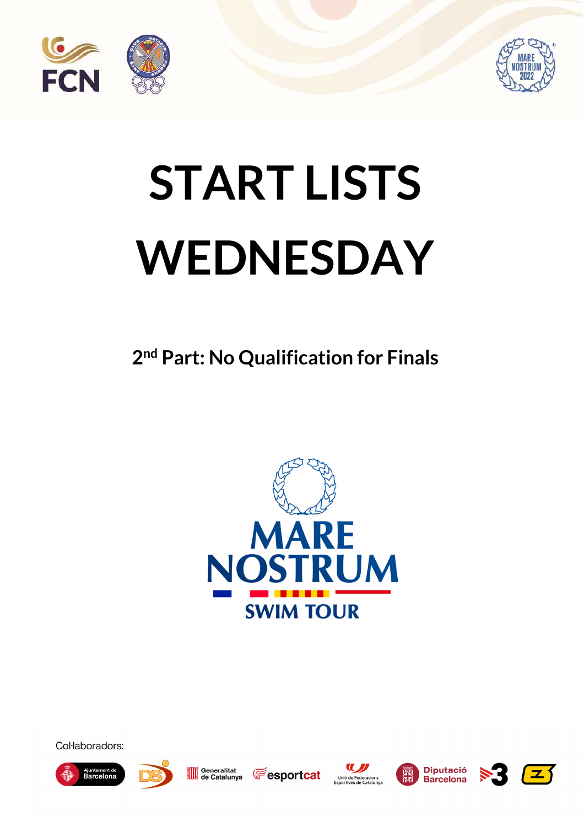



# **START LISTS WEDNESDAY**

**2 nd Part: No Qualification for Finals** 



Col·laboradors:





Generalitat de Catalunya **Fesportcat** 







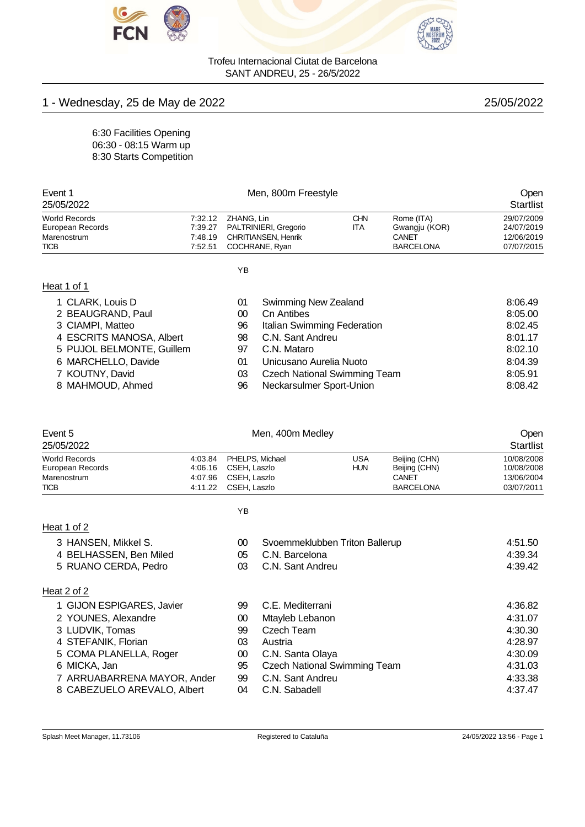



# 1 - Wednesday, 25 de May de 2022 **25/05/2022** 25/05/2022

6:30 Facilities Opening 06:30 - 08:15 Warm up 8:30 Starts Competition

| Event 1              |         |                               | Open       |                  |            |
|----------------------|---------|-------------------------------|------------|------------------|------------|
| 25/05/2022           |         | <b>Startlist</b>              |            |                  |            |
| <b>World Records</b> |         | 7:32.12 ZHANG, Lin            | <b>CHN</b> | Rome (ITA)       | 29/07/2009 |
| European Records     |         | 7:39.27 PALTRINIERI, Gregorio | <b>ITA</b> | Gwangju (KOR)    | 24/07/2019 |
| Marenostrum          |         | 7:48.19 CHRITIANSEN, Henrik   |            | CANET            | 12/06/2019 |
| <b>TICB</b>          | 7:52.51 | COCHRANE, Ryan                |            | <b>BARCELONA</b> | 07/07/2015 |
|                      |         |                               |            |                  |            |
|                      |         | $\sqrt{2}$                    |            |                  |            |

# Heat 1 of 1

| ۰. |
|----|
|    |

| 1 CLARK, Louis D          | 01 | Swimming New Zealand                | 8:06.49 |
|---------------------------|----|-------------------------------------|---------|
| 2 BEAUGRAND, Paul         | 00 | Cn Antibes                          | 8:05.00 |
| 3 CIAMPI, Matteo          | 96 | Italian Swimming Federation         | 8:02.45 |
| 4 ESCRITS MANOSA, Albert  | 98 | C.N. Sant Andreu                    | 8:01.17 |
| 5 PUJOL BELMONTE, Guillem | 97 | C.N. Mataro                         | 8:02.10 |
| 6 MARCHELLO, Davide       | 01 | Unicusano Aurelia Nuoto             | 8:04.39 |
| 7 KOUTNY, David           | 03 | <b>Czech National Swimming Team</b> | 8:05.91 |
| 8 MAHMOUD, Ahmed          | 96 | Neckarsulmer Sport-Union            | 8:08.42 |
|                           |    |                                     |         |

| Event 5<br>25/05/2022                                   |                               |                              | Men, 400m Medley                    |                          |                                                |                                        |  |
|---------------------------------------------------------|-------------------------------|------------------------------|-------------------------------------|--------------------------|------------------------------------------------|----------------------------------------|--|
| <b>World Records</b><br>European Records<br>Marenostrum | 4:03.84<br>4:06.16<br>4:07.96 | CSEH, Laszlo<br>CSEH, Laszlo | PHELPS, Michael                     | <b>USA</b><br><b>HUN</b> | Beijing (CHN)<br>Beijing (CHN)<br><b>CANET</b> | 10/08/2008<br>10/08/2008<br>13/06/2004 |  |
| <b>TICB</b>                                             | 4:11.22                       | CSEH, Laszlo                 |                                     |                          | <b>BARCELONA</b>                               | 03/07/2011                             |  |
|                                                         |                               | ΥB                           |                                     |                          |                                                |                                        |  |
| Heat 1 of 2                                             |                               |                              |                                     |                          |                                                |                                        |  |
| 3 HANSEN, Mikkel S.                                     |                               | 00                           | Svoemmeklubben Triton Ballerup      |                          |                                                | 4:51.50                                |  |
| 4 BELHASSEN, Ben Miled                                  |                               | 05                           | C.N. Barcelona                      |                          |                                                | 4:39.34                                |  |
| 5 RUANO CERDA, Pedro                                    |                               | 03                           | C.N. Sant Andreu                    |                          |                                                | 4:39.42                                |  |
| Heat 2 of 2                                             |                               |                              |                                     |                          |                                                |                                        |  |
| 1 GIJON ESPIGARES, Javier                               |                               | 99                           | C.E. Mediterrani                    |                          |                                                | 4:36.82                                |  |
| 2 YOUNES, Alexandre                                     |                               | 00                           | Mtayleb Lebanon                     |                          |                                                | 4:31.07                                |  |
| 3 LUDVIK, Tomas                                         |                               | 99                           | <b>Czech Team</b>                   |                          |                                                | 4:30.30                                |  |
| 4 STEFANIK, Florian                                     |                               | 03                           | Austria                             |                          |                                                | 4:28.97                                |  |
| 5 COMA PLANELLA, Roger                                  |                               | 00                           | C.N. Santa Olaya                    |                          |                                                | 4:30.09                                |  |
| 6 MICKA, Jan                                            |                               | 95                           | <b>Czech National Swimming Team</b> |                          |                                                | 4:31.03                                |  |
| 7 ARRUABARRENA MAYOR, Ander                             |                               | 99                           | C.N. Sant Andreu                    |                          |                                                | 4:33.38                                |  |

8 CABEZUELO AREVALO, Albert 04 C.N. Sabadell 4:37.47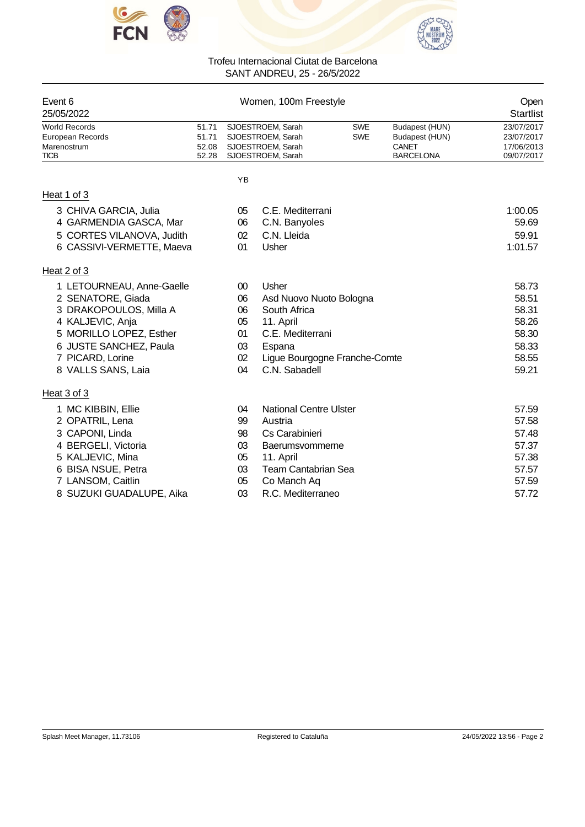



| Event 6                         |                |        | Women, 100m Freestyle                  |            |                         | Open                     |
|---------------------------------|----------------|--------|----------------------------------------|------------|-------------------------|--------------------------|
| 25/05/2022                      |                |        |                                        |            |                         | Startlist                |
| <b>World Records</b>            | 51.71          |        | SJOESTROEM, Sarah                      | <b>SWE</b> | Budapest (HUN)          | 23/07/2017               |
| European Records<br>Marenostrum | 51.71<br>52.08 |        | SJOESTROEM, Sarah<br>SJOESTROEM, Sarah | <b>SWE</b> | Budapest (HUN)<br>CANET | 23/07/2017<br>17/06/2013 |
| <b>TICB</b>                     | 52.28          |        | SJOESTROEM, Sarah                      |            | <b>BARCELONA</b>        | 09/07/2017               |
|                                 |                | YB     |                                        |            |                         |                          |
| Heat 1 of 3                     |                |        |                                        |            |                         |                          |
| 3 CHIVA GARCIA, Julia           |                | 05     | C.E. Mediterrani                       |            |                         | 1:00.05                  |
| 4 GARMENDIA GASCA, Mar          |                | 06     | C.N. Banyoles                          |            |                         | 59.69                    |
| 5 CORTES VILANOVA, Judith       |                | 02     | C.N. Lleida                            |            |                         | 59.91                    |
| 6 CASSIVI-VERMETTE, Maeva       |                | 01     | Usher                                  |            |                         | 1:01.57                  |
| Heat 2 of 3                     |                |        |                                        |            |                         |                          |
| 1 LETOURNEAU, Anne-Gaelle       |                | $00\,$ | Usher                                  |            |                         | 58.73                    |
| 2 SENATORE, Giada               |                | 06     | Asd Nuovo Nuoto Bologna                |            |                         | 58.51                    |
| 3 DRAKOPOULOS, Milla A          |                | 06     | South Africa                           |            |                         | 58.31                    |
| 4 KALJEVIC, Anja                |                | 05     | 11. April                              |            |                         | 58.26                    |
| 5 MORILLO LOPEZ, Esther         |                | 01     | C.E. Mediterrani                       |            |                         | 58.30                    |
| 6 JUSTE SANCHEZ, Paula          |                | 03     | Espana                                 |            |                         | 58.33                    |
| 7 PICARD, Lorine                |                | 02     | Ligue Bourgogne Franche-Comte          |            |                         | 58.55                    |
| 8 VALLS SANS, Laia              |                | 04     | C.N. Sabadell                          |            |                         | 59.21                    |
| Heat 3 of 3                     |                |        |                                        |            |                         |                          |
| 1 MC KIBBIN, Ellie              |                | 04     | <b>National Centre Ulster</b>          |            |                         | 57.59                    |
| 2 OPATRIL, Lena                 |                | 99     | Austria                                |            |                         | 57.58                    |
| 3 CAPONI, Linda                 |                | 98     | Cs Carabinieri                         |            |                         | 57.48                    |
| 4 BERGELI, Victoria             |                | 03     | Baerumsvommerne                        |            |                         | 57.37                    |
| 5 KALJEVIC, Mina                |                | 05     | 11. April                              |            |                         | 57.38                    |
| 6 BISA NSUE, Petra              |                | 03     | <b>Team Cantabrian Sea</b>             |            |                         | 57.57                    |
| 7 LANSOM, Caitlin               |                | 05     | Co Manch Aq                            |            |                         | 57.59                    |
| 8 SUZUKI GUADALUPE, Aika        |                | 03     | R.C. Mediterraneo                      |            |                         | 57.72                    |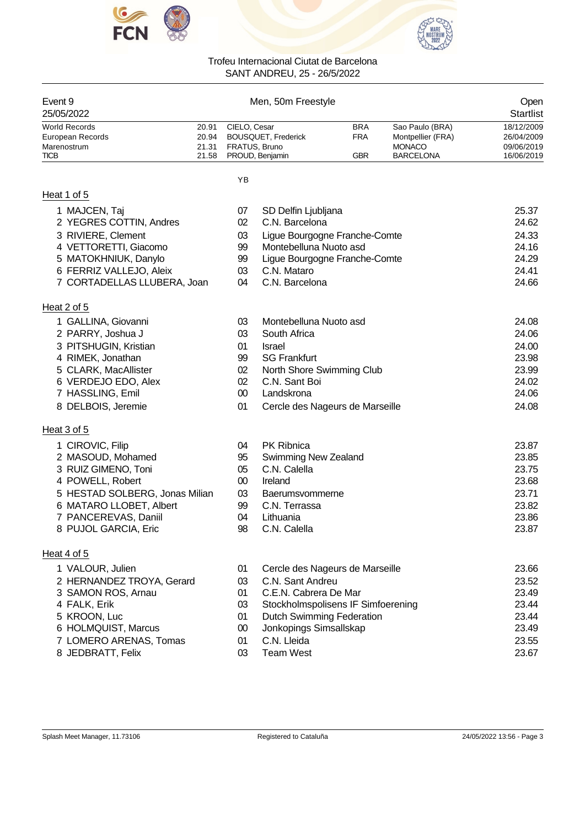



| Event 9<br>25/05/2022                                           |                                  |                               | Men, 50m Freestyle                            |                                        |                                                                           | Open<br>Startlist                                    |
|-----------------------------------------------------------------|----------------------------------|-------------------------------|-----------------------------------------------|----------------------------------------|---------------------------------------------------------------------------|------------------------------------------------------|
| World Records<br>European Records<br>Marenostrum<br><b>TICB</b> | 20.91<br>20.94<br>21.31<br>21.58 | CIELO, Cesar<br>FRATUS, Bruno | <b>BOUSQUET, Frederick</b><br>PROUD, Benjamin | <b>BRA</b><br><b>FRA</b><br><b>GBR</b> | Sao Paulo (BRA)<br>Montpellier (FRA)<br><b>MONACO</b><br><b>BARCELONA</b> | 18/12/2009<br>26/04/2009<br>09/06/2019<br>16/06/2019 |
|                                                                 |                                  | YB                            |                                               |                                        |                                                                           |                                                      |
| Heat 1 of 5                                                     |                                  |                               |                                               |                                        |                                                                           |                                                      |
| 1 MAJCEN, Taj                                                   |                                  | 07                            | SD Delfin Ljubljana                           |                                        |                                                                           | 25.37                                                |
| 2 YEGRES COTTIN, Andres                                         |                                  | 02                            | C.N. Barcelona                                |                                        |                                                                           | 24.62                                                |
| 3 RIVIERE, Clement                                              |                                  | 03                            | Ligue Bourgogne Franche-Comte                 |                                        |                                                                           | 24.33                                                |
| 4 VETTORETTI, Giacomo                                           |                                  | 99                            | Montebelluna Nuoto asd                        |                                        |                                                                           | 24.16                                                |
| 5 MATOKHNIUK, Danylo                                            |                                  | 99                            | Ligue Bourgogne Franche-Comte                 |                                        |                                                                           | 24.29                                                |
| 6 FERRIZ VALLEJO, Aleix                                         |                                  | 03                            | C.N. Mataro                                   |                                        |                                                                           | 24.41                                                |
| 7 CORTADELLAS LLUBERA, Joan                                     |                                  | 04                            | C.N. Barcelona                                |                                        |                                                                           | 24.66                                                |
| Heat 2 of 5                                                     |                                  |                               |                                               |                                        |                                                                           |                                                      |
| 1 GALLINA, Giovanni                                             |                                  | 03                            | Montebelluna Nuoto asd                        |                                        |                                                                           | 24.08                                                |
| 2 PARRY, Joshua J                                               |                                  | 03                            | South Africa                                  |                                        |                                                                           | 24.06                                                |
| 3 PITSHUGIN, Kristian                                           |                                  | 01                            | <b>Israel</b>                                 |                                        |                                                                           | 24.00                                                |
| 4 RIMEK, Jonathan                                               |                                  | 99                            | <b>SG Frankfurt</b>                           |                                        |                                                                           | 23.98                                                |
| 5 CLARK, MacAllister                                            |                                  | 02                            | North Shore Swimming Club                     |                                        |                                                                           | 23.99                                                |
| 6 VERDEJO EDO, Alex                                             |                                  | 02                            | C.N. Sant Boi                                 |                                        |                                                                           | 24.02                                                |
| 7 HASSLING, Emil                                                |                                  | $00\,$                        | Landskrona                                    |                                        |                                                                           | 24.06                                                |
| 8 DELBOIS, Jeremie                                              |                                  | 01                            | Cercle des Nageurs de Marseille               |                                        |                                                                           | 24.08                                                |
| Heat 3 of 5                                                     |                                  |                               |                                               |                                        |                                                                           |                                                      |
| 1 CIROVIC, Filip                                                |                                  | 04                            | <b>PK Ribnica</b>                             |                                        |                                                                           | 23.87                                                |
| 2 MASOUD, Mohamed                                               |                                  | 95                            | Swimming New Zealand                          |                                        |                                                                           | 23.85                                                |
| 3 RUIZ GIMENO, Toni                                             |                                  | 05                            | C.N. Calella                                  |                                        |                                                                           | 23.75                                                |
| 4 POWELL, Robert                                                |                                  | $00\,$                        | Ireland                                       |                                        |                                                                           | 23.68                                                |
| 5 HESTAD SOLBERG, Jonas Milian                                  |                                  | 03                            | <b>Baerumsvommerne</b>                        |                                        |                                                                           | 23.71                                                |
| 6 MATARO LLOBET, Albert                                         |                                  | 99                            | C.N. Terrassa                                 |                                        |                                                                           | 23.82                                                |
| 7 PANCEREVAS, Daniil                                            |                                  | 04                            | Lithuania                                     |                                        |                                                                           | 23.86                                                |
| 8 PUJOL GARCIA, Eric                                            |                                  | 98                            | C.N. Calella                                  |                                        |                                                                           | 23.87                                                |
| Heat 4 of 5                                                     |                                  |                               |                                               |                                        |                                                                           |                                                      |
| 1 VALOUR, Julien                                                |                                  | 01                            | Cercle des Nageurs de Marseille               |                                        |                                                                           | 23.66                                                |
| 2 HERNANDEZ TROYA, Gerard                                       |                                  | 03                            | C.N. Sant Andreu                              |                                        |                                                                           | 23.52                                                |
| 3 SAMON ROS, Arnau                                              |                                  | 01                            | C.E.N. Cabrera De Mar                         |                                        |                                                                           | 23.49                                                |
| 4 FALK, Erik                                                    |                                  | 03                            | Stockholmspolisens IF Simfoerening            |                                        |                                                                           | 23.44                                                |
| 5 KROON, Luc                                                    |                                  | 01                            | <b>Dutch Swimming Federation</b>              |                                        |                                                                           | 23.44                                                |
| 6 HOLMQUIST, Marcus                                             |                                  | $00\,$                        | Jonkopings Simsallskap                        |                                        |                                                                           | 23.49                                                |
| 7 LOMERO ARENAS, Tomas                                          |                                  | 01                            | C.N. Lleida                                   |                                        |                                                                           | 23.55                                                |
| 8 JEDBRATT, Felix                                               |                                  | 03                            | <b>Team West</b>                              |                                        |                                                                           | 23.67                                                |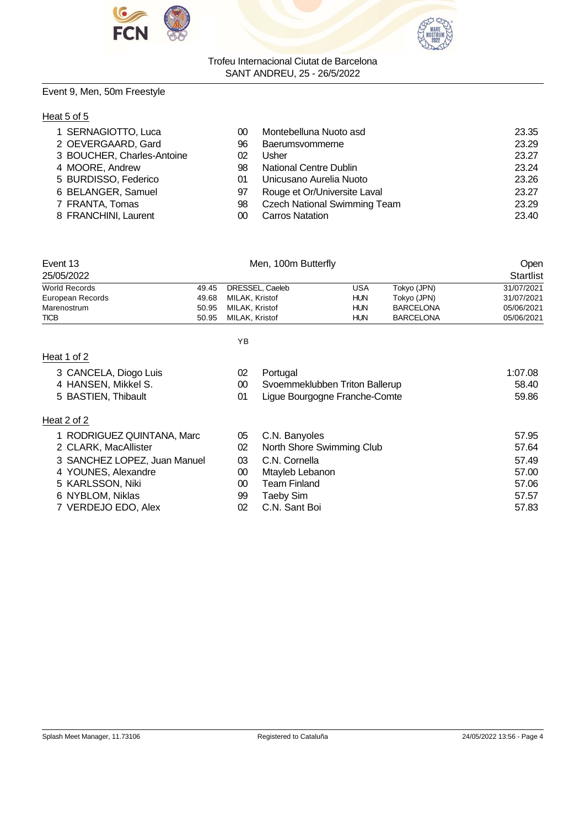



# Event 9, Men, 50m Freestyle

# Heat 5 of 5

| 1 SERNAGIOTTO, Luca        | 00 | Montebelluna Nuoto asd              | 23.35 |
|----------------------------|----|-------------------------------------|-------|
| 2 OEVERGAARD, Gard         | 96 | Baerumsvommerne                     | 23.29 |
| 3 BOUCHER, Charles-Antoine | 02 | Usher                               | 23.27 |
| 4 MOORE, Andrew            | 98 | National Centre Dublin              | 23.24 |
| 5 BURDISSO, Federico       | 01 | Unicusano Aurelia Nuoto             | 23.26 |
| 6 BELANGER, Samuel         | 97 | Rouge et Or/Universite Laval        | 23.27 |
| 7 FRANTA, Tomas            | 98 | <b>Czech National Swimming Team</b> | 23.29 |
| 8 FRANCHINI, Laurent       | 00 | <b>Carros Natation</b>              | 23.40 |

| Event 13             |       | Men, 100m Butterfly  |            |                  | Open       |
|----------------------|-------|----------------------|------------|------------------|------------|
| 25/05/2022           |       |                      |            |                  | Startlist  |
| <b>World Records</b> | 49.45 | DRESSEL. Caeleb      | USA        | Tokyo (JPN)      | 31/07/2021 |
| European Records     |       | 49.68 MILAK, Kristof | <b>HUN</b> | Tokyo (JPN)      | 31/07/2021 |
| Marenostrum          |       | 50.95 MILAK, Kristof | <b>HUN</b> | <b>BARCELONA</b> | 05/06/2021 |
| <b>TICB</b>          | 50.95 | MILAK, Kristof       | <b>HUN</b> | <b>BARCELONA</b> | 05/06/2021 |

| ۰. |
|----|
|    |

# Heat 1 of 2

| 3 CANCELA, Diogo Luis |  |
|-----------------------|--|
|                       |  |

- 
- 5 BASTIEN, Thibault

# Heat 2 of 2

|  | 1 RODRIGUEZ QUINTANA, Marc |  |  |
|--|----------------------------|--|--|
|--|----------------------------|--|--|

- 
- 
- 
- 
- 
- 7 VERDEJO EDO, Alex 02 C.N. Sant Boi 67.83

| 3 CANCELA, Diogo Luis        | 02 | Portugal                       | 1:07.08 |
|------------------------------|----|--------------------------------|---------|
| 4 HANSEN, Mikkel S.          | 00 | Svoemmeklubben Triton Ballerup | 58.40   |
| 5 BASTIEN, Thibault          | 01 | Ligue Bourgogne Franche-Comte  | 59.86   |
| at 2 of 2                    |    |                                |         |
| 1 RODRIGUEZ QUINTANA, Marc   | 05 | C.N. Banyoles                  | 57.95   |
| 2 CLARK, MacAllister         | 02 | North Shore Swimming Club      | 57.64   |
| 3 SANCHEZ LOPEZ, Juan Manuel | 03 | C.N. Cornella                  | 57.49   |
| 4 YOUNES, Alexandre          | 00 | Mtayleb Lebanon                | 57.00   |
|                              |    |                                |         |

- 5 KARLSSON, Niki 00 Team Finland 57.06 6 NYBLOM, Niklas 99 Taeby Sim 57.57
	-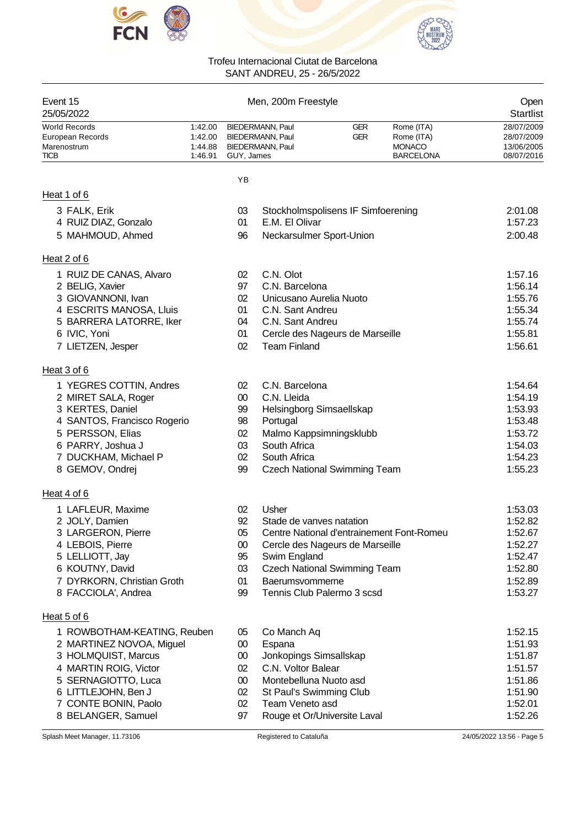



| Event 15<br>25/05/2022                                                 |                                          |              | Men, 200m Freestyle                                                    |                          |                                                               | Open<br><b>Startlist</b>                             |
|------------------------------------------------------------------------|------------------------------------------|--------------|------------------------------------------------------------------------|--------------------------|---------------------------------------------------------------|------------------------------------------------------|
| <b>World Records</b><br>European Records<br>Marenostrum<br><b>TICB</b> | 1:42.00<br>1:42.00<br>1:44.88<br>1:46.91 | GUY, James   | BIEDERMANN, Paul<br><b>BIEDERMANN, Paul</b><br><b>BIEDERMANN, Paul</b> | <b>GER</b><br><b>GER</b> | Rome (ITA)<br>Rome (ITA)<br><b>MONACO</b><br><b>BARCELONA</b> | 28/07/2009<br>28/07/2009<br>13/06/2005<br>08/07/2016 |
|                                                                        |                                          | YB           |                                                                        |                          |                                                               |                                                      |
| Heat 1 of 6                                                            |                                          |              |                                                                        |                          |                                                               |                                                      |
| 3 FALK, Erik                                                           |                                          | 03           | Stockholmspolisens IF Simfoerening                                     |                          |                                                               | 2:01.08                                              |
| 4 RUIZ DIAZ, Gonzalo                                                   |                                          | 01           | E.M. El Olivar                                                         |                          |                                                               | 1:57.23                                              |
| 5 MAHMOUD, Ahmed                                                       |                                          | 96           | Neckarsulmer Sport-Union                                               |                          |                                                               | 2:00.48                                              |
| Heat 2 of 6                                                            |                                          |              |                                                                        |                          |                                                               |                                                      |
| 1 RUIZ DE CANAS, Alvaro                                                |                                          | 02           | C.N. Olot                                                              |                          |                                                               | 1:57.16                                              |
| 2 BELIG, Xavier                                                        |                                          | 97           | C.N. Barcelona                                                         |                          |                                                               | 1:56.14                                              |
| 3 GIOVANNONI, Ivan                                                     |                                          | 02           | Unicusano Aurelia Nuoto                                                |                          |                                                               | 1:55.76                                              |
| 4 ESCRITS MANOSA, Lluis                                                |                                          | 01           | C.N. Sant Andreu                                                       |                          |                                                               | 1:55.34                                              |
| 5 BARRERA LATORRE, Iker                                                |                                          | 04           | C.N. Sant Andreu                                                       |                          |                                                               | 1:55.74                                              |
| 6 IVIC, Yoni                                                           |                                          | 01           | Cercle des Nageurs de Marseille                                        |                          |                                                               | 1:55.81                                              |
| 7 LIETZEN, Jesper                                                      |                                          | 02           | <b>Team Finland</b>                                                    |                          |                                                               | 1:56.61                                              |
| Heat 3 of 6                                                            |                                          |              |                                                                        |                          |                                                               |                                                      |
| 1 YEGRES COTTIN, Andres                                                |                                          | 02           | C.N. Barcelona                                                         |                          |                                                               | 1:54.64                                              |
| 2 MIRET SALA, Roger                                                    |                                          | 00           | C.N. Lleida                                                            |                          |                                                               | 1:54.19                                              |
| 3 KERTES, Daniel                                                       |                                          | 99           | Helsingborg Simsaellskap                                               |                          |                                                               | 1:53.93                                              |
| 4 SANTOS, Francisco Rogerio                                            |                                          | 98           | Portugal                                                               |                          |                                                               | 1:53.48                                              |
| 5 PERSSON, Elias                                                       |                                          | 02           | Malmo Kappsimningsklubb                                                |                          |                                                               | 1:53.72                                              |
| 6 PARRY, Joshua J                                                      |                                          | 03           | South Africa                                                           |                          |                                                               | 1:54.03                                              |
| 7 DUCKHAM, Michael P                                                   |                                          | 02           | South Africa                                                           |                          |                                                               | 1:54.23                                              |
| 8 GEMOV, Ondrej                                                        |                                          | 99           | <b>Czech National Swimming Team</b>                                    |                          |                                                               | 1:55.23                                              |
| Heat 4 of 6                                                            |                                          |              |                                                                        |                          |                                                               |                                                      |
| 1 LAFLEUR, Maxime                                                      |                                          | 02           | Usher                                                                  |                          |                                                               | 1:53.03                                              |
| 2 JOLY, Damien                                                         |                                          | 92           | Stade de vanves natation                                               |                          |                                                               | 1:52.82                                              |
| 3 LARGERON, Pierre                                                     |                                          | 05           |                                                                        |                          | Centre National d'entrainement Font-Romeu                     | 1:52.67                                              |
| 4 LEBOIS, Pierre                                                       |                                          | $00\,$       | Cercle des Nageurs de Marseille                                        |                          |                                                               | 1:52.27                                              |
| 5 LELLIOTT, Jay                                                        |                                          | 95           | Swim England                                                           |                          |                                                               | 1:52.47                                              |
| 6 KOUTNY, David                                                        |                                          | 03           | <b>Czech National Swimming Team</b>                                    |                          |                                                               | 1:52.80                                              |
| 7 DYRKORN, Christian Groth<br>8 FACCIOLA', Andrea                      |                                          | 01<br>99     | Baerumsvommerne<br>Tennis Club Palermo 3 scsd                          |                          |                                                               | 1:52.89<br>1:53.27                                   |
|                                                                        |                                          |              |                                                                        |                          |                                                               |                                                      |
| Heat 5 of 6                                                            |                                          |              |                                                                        |                          |                                                               |                                                      |
| 1 ROWBOTHAM-KEATING, Reuben<br>2 MARTINEZ NOVOA, Miguel                |                                          | 05<br>$00\,$ | Co Manch Aq<br>Espana                                                  |                          |                                                               | 1:52.15<br>1:51.93                                   |
| 3 HOLMQUIST, Marcus                                                    |                                          | 00           | Jonkopings Simsallskap                                                 |                          |                                                               | 1:51.87                                              |
| 4 MARTIN ROIG, Victor                                                  |                                          | 02           | C.N. Voltor Balear                                                     |                          |                                                               | 1:51.57                                              |
| 5 SERNAGIOTTO, Luca                                                    |                                          | $00\,$       | Montebelluna Nuoto asd                                                 |                          |                                                               | 1:51.86                                              |
| 6 LITTLEJOHN, Ben J                                                    |                                          | 02           | St Paul's Swimming Club                                                |                          |                                                               | 1:51.90                                              |
| 7 CONTE BONIN, Paolo                                                   |                                          | 02           | Team Veneto asd                                                        |                          |                                                               | 1:52.01                                              |
| 8 BELANGER, Samuel                                                     |                                          | 97           | Rouge et Or/Universite Laval                                           |                          |                                                               | 1:52.26                                              |
| Splash Meet Manager, 11.73106                                          |                                          |              | Registered to Cataluña                                                 |                          |                                                               | 24/05/2022 13:56 - Page 5                            |